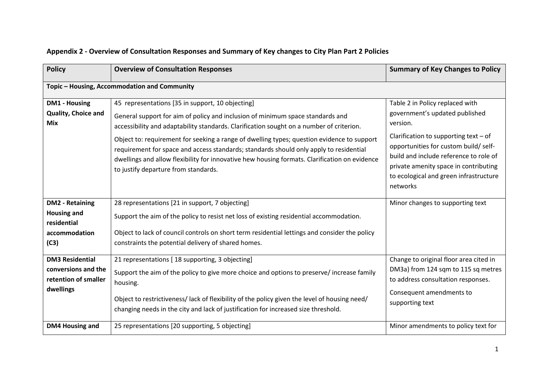| <b>Policy</b>                                                                        | <b>Overview of Consultation Responses</b>                                                                                                                                                                                                                                                                                                                                                                                                                                                                                                                       | <b>Summary of Key Changes to Policy</b>                                                                                                                                                                                                                                                                    |
|--------------------------------------------------------------------------------------|-----------------------------------------------------------------------------------------------------------------------------------------------------------------------------------------------------------------------------------------------------------------------------------------------------------------------------------------------------------------------------------------------------------------------------------------------------------------------------------------------------------------------------------------------------------------|------------------------------------------------------------------------------------------------------------------------------------------------------------------------------------------------------------------------------------------------------------------------------------------------------------|
|                                                                                      | Topic - Housing, Accommodation and Community                                                                                                                                                                                                                                                                                                                                                                                                                                                                                                                    |                                                                                                                                                                                                                                                                                                            |
| <b>DM1 - Housing</b><br><b>Quality, Choice and</b><br><b>Mix</b>                     | 45 representations [35 in support, 10 objecting]<br>General support for aim of policy and inclusion of minimum space standards and<br>accessibility and adaptability standards. Clarification sought on a number of criterion.<br>Object to: requirement for seeking a range of dwelling types; question evidence to support<br>requirement for space and access standards; standards should only apply to residential<br>dwellings and allow flexibility for innovative hew housing formats. Clarification on evidence<br>to justify departure from standards. | Table 2 in Policy replaced with<br>government's updated published<br>version.<br>Clarification to supporting text $-$ of<br>opportunities for custom build/ self-<br>build and include reference to role of<br>private amenity space in contributing<br>to ecological and green infrastructure<br>networks |
| <b>DM2 - Retaining</b><br><b>Housing and</b><br>residential<br>accommodation<br>(C3) | 28 representations [21 in support, 7 objecting]<br>Support the aim of the policy to resist net loss of existing residential accommodation.<br>Object to lack of council controls on short term residential lettings and consider the policy<br>constraints the potential delivery of shared homes.                                                                                                                                                                                                                                                              | Minor changes to supporting text                                                                                                                                                                                                                                                                           |
| <b>DM3 Residential</b><br>conversions and the<br>retention of smaller<br>dwellings   | 21 representations [18 supporting, 3 objecting]<br>Support the aim of the policy to give more choice and options to preserve/increase family<br>housing.<br>Object to restrictiveness/lack of flexibility of the policy given the level of housing need/<br>changing needs in the city and lack of justification for increased size threshold.                                                                                                                                                                                                                  | Change to original floor area cited in<br>DM3a) from 124 sqm to 115 sq metres<br>to address consultation responses.<br>Consequent amendments to<br>supporting text                                                                                                                                         |
| DM4 Housing and                                                                      | 25 representations [20 supporting, 5 objecting]                                                                                                                                                                                                                                                                                                                                                                                                                                                                                                                 | Minor amendments to policy text for                                                                                                                                                                                                                                                                        |

## **Appendix 2 - Overview of Consultation Responses and Summary of Key changes to City Plan Part 2 Policies**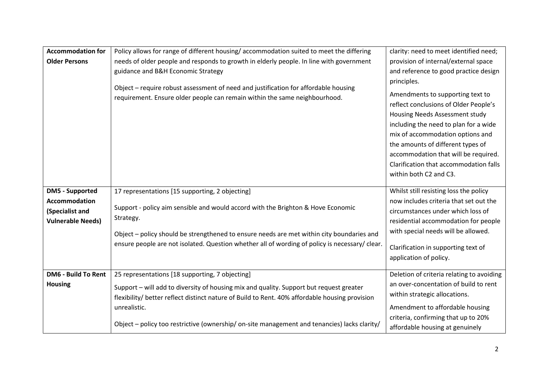| <b>Accommodation for</b><br><b>Older Persons</b>                                              | Policy allows for range of different housing/accommodation suited to meet the differing<br>needs of older people and responds to growth in elderly people. In line with government<br>guidance and B&H Economic Strategy<br>Object - require robust assessment of need and justification for affordable housing<br>requirement. Ensure older people can remain within the same neighbourhood. | clarity: need to meet identified need;<br>provision of internal/external space<br>and reference to good practice design<br>principles.<br>Amendments to supporting text to<br>reflect conclusions of Older People's<br>Housing Needs Assessment study<br>including the need to plan for a wide<br>mix of accommodation options and<br>the amounts of different types of<br>accommodation that will be required.<br>Clarification that accommodation falls<br>within both C2 and C3. |
|-----------------------------------------------------------------------------------------------|-----------------------------------------------------------------------------------------------------------------------------------------------------------------------------------------------------------------------------------------------------------------------------------------------------------------------------------------------------------------------------------------------|-------------------------------------------------------------------------------------------------------------------------------------------------------------------------------------------------------------------------------------------------------------------------------------------------------------------------------------------------------------------------------------------------------------------------------------------------------------------------------------|
| <b>DM5 - Supported</b><br><b>Accommodation</b><br>(Specialist and<br><b>Vulnerable Needs)</b> | 17 representations [15 supporting, 2 objecting]<br>Support - policy aim sensible and would accord with the Brighton & Hove Economic<br>Strategy.<br>Object - policy should be strengthened to ensure needs are met within city boundaries and<br>ensure people are not isolated. Question whether all of wording of policy is necessary/clear.                                                | Whilst still resisting loss the policy<br>now includes criteria that set out the<br>circumstances under which loss of<br>residential accommodation for people<br>with special needs will be allowed.<br>Clarification in supporting text of<br>application of policy.                                                                                                                                                                                                               |
| <b>DM6 - Build To Rent</b><br><b>Housing</b>                                                  | 25 representations [18 supporting, 7 objecting]<br>Support - will add to diversity of housing mix and quality. Support but request greater<br>flexibility/ better reflect distinct nature of Build to Rent. 40% affordable housing provision<br>unrealistic.<br>Object - policy too restrictive (ownership/on-site management and tenancies) lacks clarity/                                   | Deletion of criteria relating to avoiding<br>an over-concentation of build to rent<br>within strategic allocations.<br>Amendment to affordable housing<br>criteria, confirming that up to 20%<br>affordable housing at genuinely                                                                                                                                                                                                                                                    |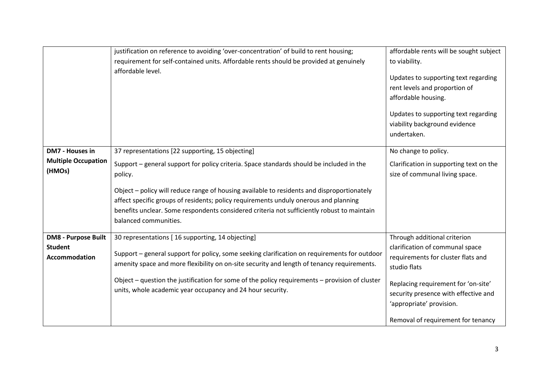|                                               | justification on reference to avoiding 'over-concentration' of build to rent housing;<br>requirement for self-contained units. Affordable rents should be provided at genuinely<br>affordable level.                                                                                                      | affordable rents will be sought subject<br>to viability.<br>Updates to supporting text regarding<br>rent levels and proportion of<br>affordable housing.<br>Updates to supporting text regarding<br>viability background evidence<br>undertaken. |
|-----------------------------------------------|-----------------------------------------------------------------------------------------------------------------------------------------------------------------------------------------------------------------------------------------------------------------------------------------------------------|--------------------------------------------------------------------------------------------------------------------------------------------------------------------------------------------------------------------------------------------------|
| DM7 - Houses in<br><b>Multiple Occupation</b> | 37 representations [22 supporting, 15 objecting]                                                                                                                                                                                                                                                          | No change to policy.                                                                                                                                                                                                                             |
| (HMOs)                                        | Support - general support for policy criteria. Space standards should be included in the<br>policy.                                                                                                                                                                                                       | Clarification in supporting text on the<br>size of communal living space.                                                                                                                                                                        |
|                                               | Object - policy will reduce range of housing available to residents and disproportionately<br>affect specific groups of residents; policy requirements unduly onerous and planning<br>benefits unclear. Some respondents considered criteria not sufficiently robust to maintain<br>balanced communities. |                                                                                                                                                                                                                                                  |
| <b>DM8 - Purpose Built</b>                    | 30 representations [16 supporting, 14 objecting]                                                                                                                                                                                                                                                          | Through additional criterion                                                                                                                                                                                                                     |
| <b>Student</b><br><b>Accommodation</b>        | Support – general support for policy, some seeking clarification on requirements for outdoor<br>amenity space and more flexibility on on-site security and length of tenancy requirements.                                                                                                                | clarification of communal space<br>requirements for cluster flats and<br>studio flats                                                                                                                                                            |
|                                               | Object $-$ question the justification for some of the policy requirements $-$ provision of cluster<br>units, whole academic year occupancy and 24 hour security.                                                                                                                                          | Replacing requirement for 'on-site'<br>security presence with effective and<br>'appropriate' provision.                                                                                                                                          |
|                                               |                                                                                                                                                                                                                                                                                                           | Removal of requirement for tenancy                                                                                                                                                                                                               |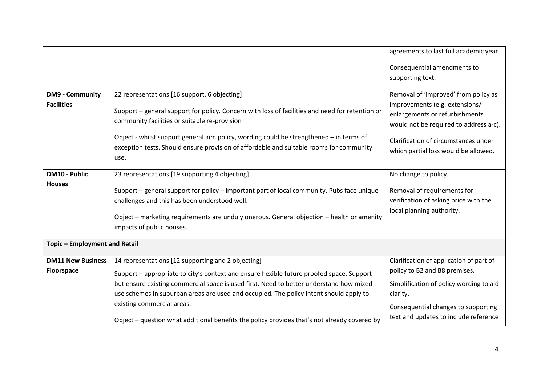|                                      |                                                                                                                                                                                                                                                                       | agreements to last full academic year.                                                                     |
|--------------------------------------|-----------------------------------------------------------------------------------------------------------------------------------------------------------------------------------------------------------------------------------------------------------------------|------------------------------------------------------------------------------------------------------------|
|                                      |                                                                                                                                                                                                                                                                       | Consequential amendments to<br>supporting text.                                                            |
| <b>DM9 - Community</b>               | 22 representations [16 support, 6 objecting]                                                                                                                                                                                                                          | Removal of 'improved' from policy as                                                                       |
| <b>Facilities</b>                    | Support – general support for policy. Concern with loss of facilities and need for retention or<br>community facilities or suitable re-provision                                                                                                                      | improvements (e.g. extensions/<br>enlargements or refurbishments<br>would not be required to address a-c). |
|                                      | Object - whilst support general aim policy, wording could be strengthened - in terms of<br>exception tests. Should ensure provision of affordable and suitable rooms for community<br>use.                                                                            | Clarification of circumstances under<br>which partial loss would be allowed.                               |
| <b>DM10 - Public</b>                 | 23 representations [19 supporting 4 objecting]                                                                                                                                                                                                                        | No change to policy.                                                                                       |
| <b>Houses</b>                        | Support - general support for policy - important part of local community. Pubs face unique<br>challenges and this has been understood well.<br>Object - marketing requirements are unduly onerous. General objection - health or amenity<br>impacts of public houses. | Removal of requirements for<br>verification of asking price with the<br>local planning authority.          |
| <b>Topic - Employment and Retail</b> |                                                                                                                                                                                                                                                                       |                                                                                                            |
| <b>DM11 New Business</b>             | 14 representations [12 supporting and 2 objecting]                                                                                                                                                                                                                    | Clarification of application of part of                                                                    |
| <b>Floorspace</b>                    | Support - appropriate to city's context and ensure flexible future proofed space. Support                                                                                                                                                                             | policy to B2 and B8 premises.                                                                              |
|                                      | but ensure existing commercial space is used first. Need to better understand how mixed<br>use schemes in suburban areas are used and occupied. The policy intent should apply to                                                                                     | Simplification of policy wording to aid<br>clarity.                                                        |
|                                      | existing commercial areas.<br>Object - question what additional benefits the policy provides that's not already covered by                                                                                                                                            | Consequential changes to supporting<br>text and updates to include reference                               |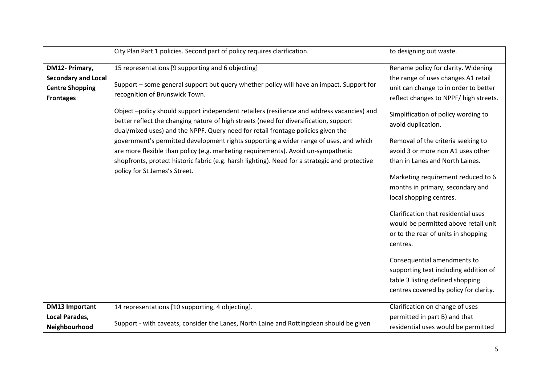|                            | City Plan Part 1 policies. Second part of policy requires clarification.                                                                                                                                                                                               | to designing out waste.                                   |
|----------------------------|------------------------------------------------------------------------------------------------------------------------------------------------------------------------------------------------------------------------------------------------------------------------|-----------------------------------------------------------|
| DM12- Primary,             | 15 representations [9 supporting and 6 objecting]                                                                                                                                                                                                                      | Rename policy for clarity. Widening                       |
| <b>Secondary and Local</b> |                                                                                                                                                                                                                                                                        | the range of uses changes A1 retail                       |
| <b>Centre Shopping</b>     | Support - some general support but query whether policy will have an impact. Support for                                                                                                                                                                               | unit can change to in order to better                     |
| <b>Frontages</b>           | recognition of Brunswick Town.                                                                                                                                                                                                                                         | reflect changes to NPPF/ high streets.                    |
|                            | Object-policy should support independent retailers (resilience and address vacancies) and<br>better reflect the changing nature of high streets (need for diversification, support<br>dual/mixed uses) and the NPPF. Query need for retail frontage policies given the | Simplification of policy wording to<br>avoid duplication. |
|                            | government's permitted development rights supporting a wider range of uses, and which                                                                                                                                                                                  | Removal of the criteria seeking to                        |
|                            | are more flexible than policy (e.g. marketing requirements). Avoid un-sympathetic                                                                                                                                                                                      | avoid 3 or more non A1 uses other                         |
|                            | shopfronts, protect historic fabric (e.g. harsh lighting). Need for a strategic and protective                                                                                                                                                                         | than in Lanes and North Laines.                           |
|                            | policy for St James's Street.                                                                                                                                                                                                                                          | Marketing requirement reduced to 6                        |
|                            |                                                                                                                                                                                                                                                                        | months in primary, secondary and                          |
|                            |                                                                                                                                                                                                                                                                        | local shopping centres.                                   |
|                            |                                                                                                                                                                                                                                                                        |                                                           |
|                            |                                                                                                                                                                                                                                                                        | Clarification that residential uses                       |
|                            |                                                                                                                                                                                                                                                                        | would be permitted above retail unit                      |
|                            |                                                                                                                                                                                                                                                                        | or to the rear of units in shopping                       |
|                            |                                                                                                                                                                                                                                                                        | centres.                                                  |
|                            |                                                                                                                                                                                                                                                                        | Consequential amendments to                               |
|                            |                                                                                                                                                                                                                                                                        | supporting text including addition of                     |
|                            |                                                                                                                                                                                                                                                                        | table 3 listing defined shopping                          |
|                            |                                                                                                                                                                                                                                                                        | centres covered by policy for clarity.                    |
| <b>DM13 Important</b>      | 14 representations [10 supporting, 4 objecting].                                                                                                                                                                                                                       | Clarification on change of uses                           |
| Local Parades,             |                                                                                                                                                                                                                                                                        | permitted in part B) and that                             |
| Neighbourhood              | Support - with caveats, consider the Lanes, North Laine and Rottingdean should be given                                                                                                                                                                                | residential uses would be permitted                       |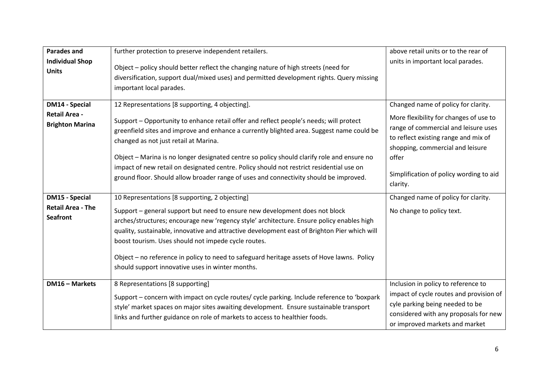| <b>Parades and</b><br><b>Individual Shop</b><br><b>Units</b> | further protection to preserve independent retailers.<br>Object - policy should better reflect the changing nature of high streets (need for<br>diversification, support dual/mixed uses) and permitted development rights. Query missing<br>important local parades.                                                                                                                                                                                                                                           | above retail units or to the rear of<br>units in important local parades.                                                                                                                                                  |
|--------------------------------------------------------------|-----------------------------------------------------------------------------------------------------------------------------------------------------------------------------------------------------------------------------------------------------------------------------------------------------------------------------------------------------------------------------------------------------------------------------------------------------------------------------------------------------------------|----------------------------------------------------------------------------------------------------------------------------------------------------------------------------------------------------------------------------|
| <b>DM14 - Special</b><br><b>Retail Area -</b>                | 12 Representations [8 supporting, 4 objecting].                                                                                                                                                                                                                                                                                                                                                                                                                                                                 | Changed name of policy for clarity.                                                                                                                                                                                        |
| <b>Brighton Marina</b>                                       | Support - Opportunity to enhance retail offer and reflect people's needs; will protect<br>greenfield sites and improve and enhance a currently blighted area. Suggest name could be<br>changed as not just retail at Marina.<br>Object - Marina is no longer designated centre so policy should clarify role and ensure no<br>impact of new retail on designated centre. Policy should not restrict residential use on<br>ground floor. Should allow broader range of uses and connectivity should be improved. | More flexibility for changes of use to<br>range of commercial and leisure uses<br>to reflect existing range and mix of<br>shopping, commercial and leisure<br>offer<br>Simplification of policy wording to aid<br>clarity. |
| <b>DM15 - Special</b>                                        | 10 Representations [8 supporting, 2 objecting]                                                                                                                                                                                                                                                                                                                                                                                                                                                                  | Changed name of policy for clarity.                                                                                                                                                                                        |
| <b>Retail Area - The</b><br><b>Seafront</b>                  | Support - general support but need to ensure new development does not block<br>arches/structures; encourage new 'regency style' architecture. Ensure policy enables high<br>quality, sustainable, innovative and attractive development east of Brighton Pier which will<br>boost tourism. Uses should not impede cycle routes.<br>Object - no reference in policy to need to safeguard heritage assets of Hove lawns. Policy<br>should support innovative uses in winter months.                               | No change to policy text.                                                                                                                                                                                                  |
| <b>DM16 - Markets</b>                                        | 8 Representations [8 supporting]<br>Support - concern with impact on cycle routes/ cycle parking. Include reference to 'boxpark<br>style' market spaces on major sites awaiting development. Ensure sustainable transport<br>links and further guidance on role of markets to access to healthier foods.                                                                                                                                                                                                        | Inclusion in policy to reference to<br>impact of cycle routes and provision of<br>cyle parking being needed to be<br>considered with any proposals for new<br>or improved markets and market                               |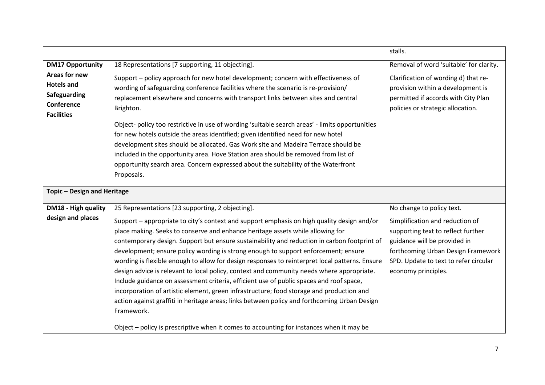|                                                                                       |                                                                                                                                                                                                                                                                                                                                                                                                                                                                                                                                                                                                                                                                                                                                                                                                                                                                                                                                                                   | stalls.                                                                                                                                                                                                     |
|---------------------------------------------------------------------------------------|-------------------------------------------------------------------------------------------------------------------------------------------------------------------------------------------------------------------------------------------------------------------------------------------------------------------------------------------------------------------------------------------------------------------------------------------------------------------------------------------------------------------------------------------------------------------------------------------------------------------------------------------------------------------------------------------------------------------------------------------------------------------------------------------------------------------------------------------------------------------------------------------------------------------------------------------------------------------|-------------------------------------------------------------------------------------------------------------------------------------------------------------------------------------------------------------|
| <b>DM17 Opportunity</b>                                                               | 18 Representations [7 supporting, 11 objecting].                                                                                                                                                                                                                                                                                                                                                                                                                                                                                                                                                                                                                                                                                                                                                                                                                                                                                                                  | Removal of word 'suitable' for clarity.                                                                                                                                                                     |
| Areas for new<br><b>Hotels and</b><br>Safeguarding<br>Conference<br><b>Facilities</b> | Support - policy approach for new hotel development; concern with effectiveness of<br>wording of safeguarding conference facilities where the scenario is re-provision/<br>replacement elsewhere and concerns with transport links between sites and central<br>Brighton.<br>Object- policy too restrictive in use of wording 'suitable search areas' - limits opportunities<br>for new hotels outside the areas identified; given identified need for new hotel<br>development sites should be allocated. Gas Work site and Madeira Terrace should be<br>included in the opportunity area. Hove Station area should be removed from list of<br>opportunity search area. Concern expressed about the suitability of the Waterfront<br>Proposals.                                                                                                                                                                                                                  | Clarification of wording d) that re-<br>provision within a development is<br>permitted if accords with City Plan<br>policies or strategic allocation.                                                       |
| Topic - Design and Heritage                                                           |                                                                                                                                                                                                                                                                                                                                                                                                                                                                                                                                                                                                                                                                                                                                                                                                                                                                                                                                                                   |                                                                                                                                                                                                             |
| DM18 - High quality                                                                   | 25 Representations [23 supporting, 2 objecting].                                                                                                                                                                                                                                                                                                                                                                                                                                                                                                                                                                                                                                                                                                                                                                                                                                                                                                                  | No change to policy text.                                                                                                                                                                                   |
| design and places                                                                     | Support - appropriate to city's context and support emphasis on high quality design and/or<br>place making. Seeks to conserve and enhance heritage assets while allowing for<br>contemporary design. Support but ensure sustainability and reduction in carbon footprint of<br>development; ensure policy wording is strong enough to support enforcement; ensure<br>wording is flexible enough to allow for design responses to reinterpret local patterns. Ensure<br>design advice is relevant to local policy, context and community needs where appropriate.<br>Include guidance on assessment criteria, efficient use of public spaces and roof space,<br>incorporation of artistic element, green infrastructure; food storage and production and<br>action against graffiti in heritage areas; links between policy and forthcoming Urban Design<br>Framework.<br>Object - policy is prescriptive when it comes to accounting for instances when it may be | Simplification and reduction of<br>supporting text to reflect further<br>guidance will be provided in<br>forthcoming Urban Design Framework<br>SPD. Update to text to refer circular<br>economy principles. |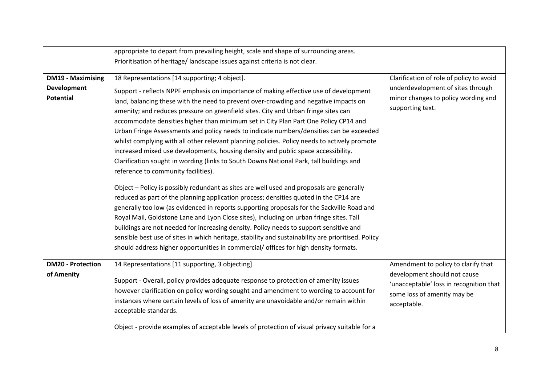|                                        | appropriate to depart from prevailing height, scale and shape of surrounding areas.                                                                                                                                                                                                                                                                                                                                                                                                                                                                                                                                                                                                                                                                                                                                                                                                                                                                                                                                                                                                                                                                                                                                                                                                                                                                                                                                                                |                                                                                                                                                              |
|----------------------------------------|----------------------------------------------------------------------------------------------------------------------------------------------------------------------------------------------------------------------------------------------------------------------------------------------------------------------------------------------------------------------------------------------------------------------------------------------------------------------------------------------------------------------------------------------------------------------------------------------------------------------------------------------------------------------------------------------------------------------------------------------------------------------------------------------------------------------------------------------------------------------------------------------------------------------------------------------------------------------------------------------------------------------------------------------------------------------------------------------------------------------------------------------------------------------------------------------------------------------------------------------------------------------------------------------------------------------------------------------------------------------------------------------------------------------------------------------------|--------------------------------------------------------------------------------------------------------------------------------------------------------------|
|                                        | Prioritisation of heritage/ landscape issues against criteria is not clear.                                                                                                                                                                                                                                                                                                                                                                                                                                                                                                                                                                                                                                                                                                                                                                                                                                                                                                                                                                                                                                                                                                                                                                                                                                                                                                                                                                        |                                                                                                                                                              |
| <b>DM19 - Maximising</b>               | 18 Representations [14 supporting; 4 object].                                                                                                                                                                                                                                                                                                                                                                                                                                                                                                                                                                                                                                                                                                                                                                                                                                                                                                                                                                                                                                                                                                                                                                                                                                                                                                                                                                                                      | Clarification of role of policy to avoid                                                                                                                     |
| <b>Development</b><br><b>Potential</b> | Support - reflects NPPF emphasis on importance of making effective use of development<br>land, balancing these with the need to prevent over-crowding and negative impacts on<br>amenity; and reduces pressure on greenfield sites. City and Urban fringe sites can<br>accommodate densities higher than minimum set in City Plan Part One Policy CP14 and<br>Urban Fringe Assessments and policy needs to indicate numbers/densities can be exceeded<br>whilst complying with all other relevant planning policies. Policy needs to actively promote<br>increased mixed use developments, housing density and public space accessibility.<br>Clarification sought in wording (links to South Downs National Park, tall buildings and<br>reference to community facilities).<br>Object - Policy is possibly redundant as sites are well used and proposals are generally<br>reduced as part of the planning application process; densities quoted in the CP14 are<br>generally too low (as evidenced in reports supporting proposals for the Sackville Road and<br>Royal Mail, Goldstone Lane and Lyon Close sites), including on urban fringe sites. Tall<br>buildings are not needed for increasing density. Policy needs to support sensitive and<br>sensible best use of sites in which heritage, stability and sustainability are prioritised. Policy<br>should address higher opportunities in commercial/ offices for high density formats. | underdevelopment of sites through<br>minor changes to policy wording and<br>supporting text.                                                                 |
| <b>DM20 - Protection</b><br>of Amenity | 14 Representations [11 supporting, 3 objecting]<br>Support - Overall, policy provides adequate response to protection of amenity issues<br>however clarification on policy wording sought and amendment to wording to account for<br>instances where certain levels of loss of amenity are unavoidable and/or remain within<br>acceptable standards.<br>Object - provide examples of acceptable levels of protection of visual privacy suitable for a                                                                                                                                                                                                                                                                                                                                                                                                                                                                                                                                                                                                                                                                                                                                                                                                                                                                                                                                                                                              | Amendment to policy to clarify that<br>development should not cause<br>'unacceptable' loss in recognition that<br>some loss of amenity may be<br>acceptable. |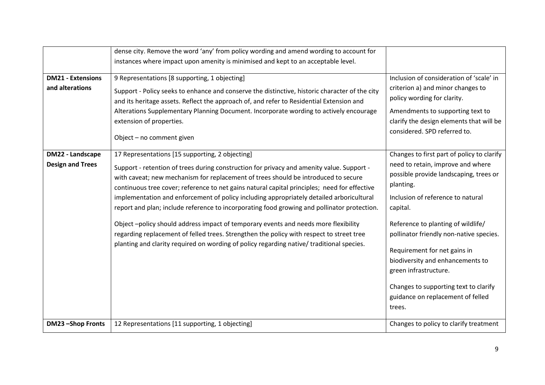|                                             | dense city. Remove the word 'any' from policy wording and amend wording to account for<br>instances where impact upon amenity is minimised and kept to an acceptable level.                                                                                                                                                                                                                                                                                                                                                   |                                                                                                                                                                                                                                                                    |
|---------------------------------------------|-------------------------------------------------------------------------------------------------------------------------------------------------------------------------------------------------------------------------------------------------------------------------------------------------------------------------------------------------------------------------------------------------------------------------------------------------------------------------------------------------------------------------------|--------------------------------------------------------------------------------------------------------------------------------------------------------------------------------------------------------------------------------------------------------------------|
|                                             |                                                                                                                                                                                                                                                                                                                                                                                                                                                                                                                               |                                                                                                                                                                                                                                                                    |
| <b>DM21 - Extensions</b>                    | 9 Representations [8 supporting, 1 objecting]                                                                                                                                                                                                                                                                                                                                                                                                                                                                                 | Inclusion of consideration of 'scale' in                                                                                                                                                                                                                           |
| and alterations                             | Support - Policy seeks to enhance and conserve the distinctive, historic character of the city<br>and its heritage assets. Reflect the approach of, and refer to Residential Extension and                                                                                                                                                                                                                                                                                                                                    | criterion a) and minor changes to<br>policy wording for clarity.                                                                                                                                                                                                   |
|                                             | Alterations Supplementary Planning Document. Incorporate wording to actively encourage<br>extension of properties.                                                                                                                                                                                                                                                                                                                                                                                                            | Amendments to supporting text to<br>clarify the design elements that will be<br>considered. SPD referred to.                                                                                                                                                       |
|                                             | Object - no comment given                                                                                                                                                                                                                                                                                                                                                                                                                                                                                                     |                                                                                                                                                                                                                                                                    |
| DM22 - Landscape<br><b>Design and Trees</b> | 17 Representations [15 supporting, 2 objecting]<br>Support - retention of trees during construction for privacy and amenity value. Support -<br>with caveat; new mechanism for replacement of trees should be introduced to secure<br>continuous tree cover; reference to net gains natural capital principles; need for effective<br>implementation and enforcement of policy including appropriately detailed arboricultural<br>report and plan; include reference to incorporating food growing and pollinator protection. | Changes to first part of policy to clarify<br>need to retain, improve and where<br>possible provide landscaping, trees or<br>planting.<br>Inclusion of reference to natural<br>capital.                                                                            |
|                                             | Object -policy should address impact of temporary events and needs more flexibility<br>regarding replacement of felled trees. Strengthen the policy with respect to street tree<br>planting and clarity required on wording of policy regarding native/ traditional species.                                                                                                                                                                                                                                                  | Reference to planting of wildlife/<br>pollinator friendly non-native species.<br>Requirement for net gains in<br>biodiversity and enhancements to<br>green infrastructure.<br>Changes to supporting text to clarify<br>guidance on replacement of felled<br>trees. |
| DM23-Shop Fronts                            | 12 Representations [11 supporting, 1 objecting]                                                                                                                                                                                                                                                                                                                                                                                                                                                                               | Changes to policy to clarify treatment                                                                                                                                                                                                                             |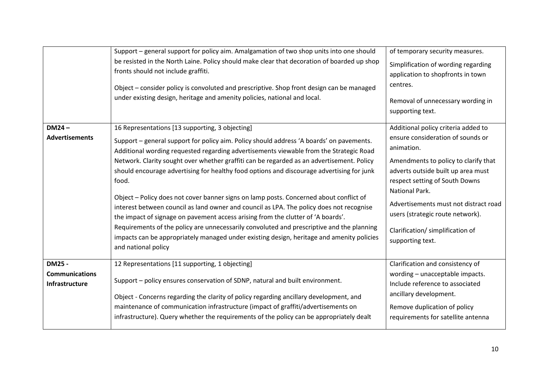|                                                                 | Support – general support for policy aim. Amalgamation of two shop units into one should<br>be resisted in the North Laine. Policy should make clear that decoration of boarded up shop<br>fronts should not include graffiti.<br>Object – consider policy is convoluted and prescriptive. Shop front design can be managed<br>under existing design, heritage and amenity policies, national and local.                                                                                                                                                                                                                                                                                                                                                                                                                                                                                                                            | of temporary security measures.<br>Simplification of wording regarding<br>application to shopfronts in town<br>centres.<br>Removal of unnecessary wording in<br>supporting text.                                                                                                                                                                              |
|-----------------------------------------------------------------|-------------------------------------------------------------------------------------------------------------------------------------------------------------------------------------------------------------------------------------------------------------------------------------------------------------------------------------------------------------------------------------------------------------------------------------------------------------------------------------------------------------------------------------------------------------------------------------------------------------------------------------------------------------------------------------------------------------------------------------------------------------------------------------------------------------------------------------------------------------------------------------------------------------------------------------|---------------------------------------------------------------------------------------------------------------------------------------------------------------------------------------------------------------------------------------------------------------------------------------------------------------------------------------------------------------|
| $DM24 -$<br><b>Advertisements</b>                               | 16 Representations [13 supporting, 3 objecting]<br>Support - general support for policy aim. Policy should address 'A boards' on pavements.<br>Additional wording requested regarding advertisements viewable from the Strategic Road<br>Network. Clarity sought over whether graffiti can be regarded as an advertisement. Policy<br>should encourage advertising for healthy food options and discourage advertising for junk<br>food.<br>Object - Policy does not cover banner signs on lamp posts. Concerned about conflict of<br>interest between council as land owner and council as LPA. The policy does not recognise<br>the impact of signage on pavement access arising from the clutter of 'A boards'.<br>Requirements of the policy are unnecessarily convoluted and prescriptive and the planning<br>impacts can be appropriately managed under existing design, heritage and amenity policies<br>and national policy | Additional policy criteria added to<br>ensure consideration of sounds or<br>animation.<br>Amendments to policy to clarify that<br>adverts outside built up area must<br>respect setting of South Downs<br>National Park.<br>Advertisements must not distract road<br>users (strategic route network).<br>Clarification/ simplification of<br>supporting text. |
| <b>DM25 -</b><br><b>Communications</b><br><b>Infrastructure</b> | 12 Representations [11 supporting, 1 objecting]<br>Support - policy ensures conservation of SDNP, natural and built environment.<br>Object - Concerns regarding the clarity of policy regarding ancillary development, and<br>maintenance of communication infrastructure (impact of graffiti/advertisements on<br>infrastructure). Query whether the requirements of the policy can be appropriately dealt                                                                                                                                                                                                                                                                                                                                                                                                                                                                                                                         | Clarification and consistency of<br>wording - unacceptable impacts.<br>Include reference to associated<br>ancillary development.<br>Remove duplication of policy<br>requirements for satellite antenna                                                                                                                                                        |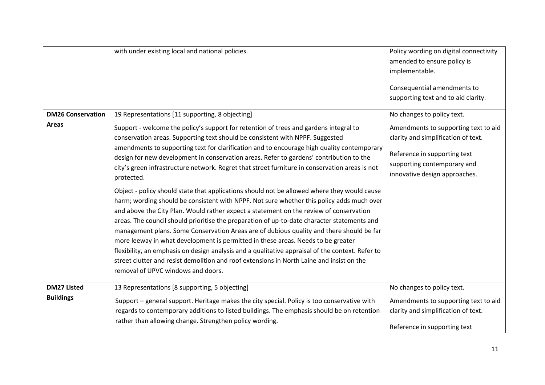| <b>DM26 Conservation</b><br>Areas | with under existing local and national policies.<br>19 Representations [11 supporting, 8 objecting]<br>Support - welcome the policy's support for retention of trees and gardens integral to<br>conservation areas. Supporting text should be consistent with NPPF. Suggested<br>amendments to supporting text for clarification and to encourage high quality contemporary<br>design for new development in conservation areas. Refer to gardens' contribution to the<br>city's green infrastructure network. Regret that street furniture in conservation areas is not<br>protected.<br>Object - policy should state that applications should not be allowed where they would cause<br>harm; wording should be consistent with NPPF. Not sure whether this policy adds much over<br>and above the City Plan. Would rather expect a statement on the review of conservation | Policy wording on digital connectivity<br>amended to ensure policy is<br>implementable.<br>Consequential amendments to<br>supporting text and to aid clarity.<br>No changes to policy text.<br>Amendments to supporting text to aid<br>clarity and simplification of text.<br>Reference in supporting text<br>supporting contemporary and<br>innovative design approaches. |
|-----------------------------------|------------------------------------------------------------------------------------------------------------------------------------------------------------------------------------------------------------------------------------------------------------------------------------------------------------------------------------------------------------------------------------------------------------------------------------------------------------------------------------------------------------------------------------------------------------------------------------------------------------------------------------------------------------------------------------------------------------------------------------------------------------------------------------------------------------------------------------------------------------------------------|----------------------------------------------------------------------------------------------------------------------------------------------------------------------------------------------------------------------------------------------------------------------------------------------------------------------------------------------------------------------------|
|                                   | areas. The council should prioritise the preparation of up-to-date character statements and<br>management plans. Some Conservation Areas are of dubious quality and there should be far<br>more leeway in what development is permitted in these areas. Needs to be greater<br>flexibility, an emphasis on design analysis and a qualitative appraisal of the context. Refer to<br>street clutter and resist demolition and roof extensions in North Laine and insist on the<br>removal of UPVC windows and doors.                                                                                                                                                                                                                                                                                                                                                           |                                                                                                                                                                                                                                                                                                                                                                            |
| <b>DM27 Listed</b>                | 13 Representations [8 supporting, 5 objecting]                                                                                                                                                                                                                                                                                                                                                                                                                                                                                                                                                                                                                                                                                                                                                                                                                               | No changes to policy text.                                                                                                                                                                                                                                                                                                                                                 |
| <b>Buildings</b>                  | Support - general support. Heritage makes the city special. Policy is too conservative with<br>regards to contemporary additions to listed buildings. The emphasis should be on retention<br>rather than allowing change. Strengthen policy wording.                                                                                                                                                                                                                                                                                                                                                                                                                                                                                                                                                                                                                         | Amendments to supporting text to aid<br>clarity and simplification of text.<br>Reference in supporting text                                                                                                                                                                                                                                                                |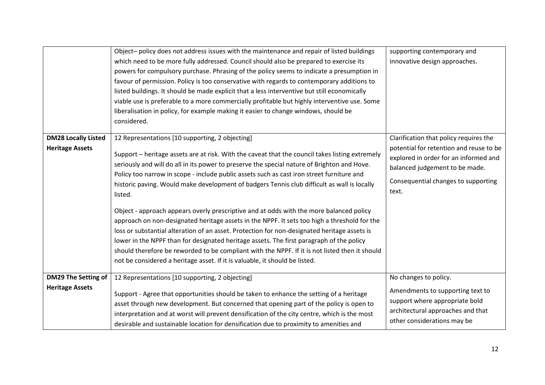|                                                      | Object-policy does not address issues with the maintenance and repair of listed buildings<br>which need to be more fully addressed. Council should also be prepared to exercise its<br>powers for compulsory purchase. Phrasing of the policy seems to indicate a presumption in<br>favour of permission. Policy is too conservative with regards to contemporary additions to<br>listed buildings. It should be made explicit that a less interventive but still economically<br>viable use is preferable to a more commercially profitable but highly interventive use. Some<br>liberalisation in policy, for example making it easier to change windows, should be<br>considered.                                                                                                                                                                                                                                                                                                                                             | supporting contemporary and<br>innovative design approaches.                                                                                                                                                 |
|------------------------------------------------------|----------------------------------------------------------------------------------------------------------------------------------------------------------------------------------------------------------------------------------------------------------------------------------------------------------------------------------------------------------------------------------------------------------------------------------------------------------------------------------------------------------------------------------------------------------------------------------------------------------------------------------------------------------------------------------------------------------------------------------------------------------------------------------------------------------------------------------------------------------------------------------------------------------------------------------------------------------------------------------------------------------------------------------|--------------------------------------------------------------------------------------------------------------------------------------------------------------------------------------------------------------|
| <b>DM28 Locally Listed</b><br><b>Heritage Assets</b> | 12 Representations [10 supporting, 2 objecting]<br>Support – heritage assets are at risk. With the caveat that the council takes listing extremely<br>seriously and will do all in its power to preserve the special nature of Brighton and Hove.<br>Policy too narrow in scope - include public assets such as cast iron street furniture and<br>historic paving. Would make development of badgers Tennis club difficult as wall is locally<br>listed.<br>Object - approach appears overly prescriptive and at odds with the more balanced policy<br>approach on non-designated heritage assets in the NPPF. It sets too high a threshold for the<br>loss or substantial alteration of an asset. Protection for non-designated heritage assets is<br>lower in the NPPF than for designated heritage assets. The first paragraph of the policy<br>should therefore be reworded to be compliant with the NPPF. If it is not listed then it should<br>not be considered a heritage asset. If it is valuable, it should be listed. | Clarification that policy requires the<br>potential for retention and reuse to be<br>explored in order for an informed and<br>balanced judgement to be made.<br>Consequential changes to supporting<br>text. |
| <b>DM29 The Setting of</b><br><b>Heritage Assets</b> | 12 Representations [10 supporting, 2 objecting]<br>Support - Agree that opportunities should be taken to enhance the setting of a heritage<br>asset through new development. But concerned that opening part of the policy is open to<br>interpretation and at worst will prevent densification of the city centre, which is the most<br>desirable and sustainable location for densification due to proximity to amenities and                                                                                                                                                                                                                                                                                                                                                                                                                                                                                                                                                                                                  | No changes to policy.<br>Amendments to supporting text to<br>support where appropriate bold<br>architectural approaches and that<br>other considerations may be                                              |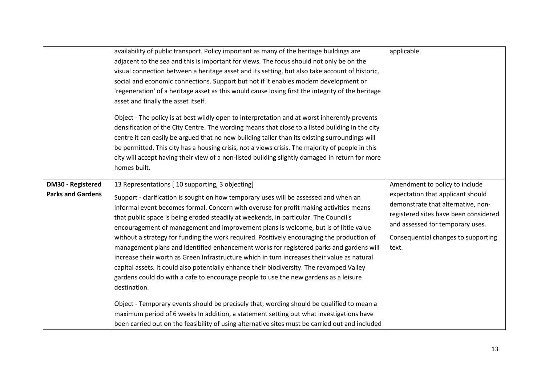|                                                      | availability of public transport. Policy important as many of the heritage buildings are<br>adjacent to the sea and this is important for views. The focus should not only be on the<br>visual connection between a heritage asset and its setting, but also take account of historic,<br>social and economic connections. Support but not if it enables modern development or<br>'regeneration' of a heritage asset as this would cause losing first the integrity of the heritage<br>asset and finally the asset itself.<br>Object - The policy is at best wildly open to interpretation and at worst inherently prevents<br>densification of the City Centre. The wording means that close to a listed building in the city<br>centre it can easily be argued that no new building taller than its existing surroundings will<br>be permitted. This city has a housing crisis, not a views crisis. The majority of people in this<br>city will accept having their view of a non-listed building slightly damaged in return for more<br>homes built.                                                                                                                                                   | applicable.                                                                                                                                                                                                                            |
|------------------------------------------------------|-----------------------------------------------------------------------------------------------------------------------------------------------------------------------------------------------------------------------------------------------------------------------------------------------------------------------------------------------------------------------------------------------------------------------------------------------------------------------------------------------------------------------------------------------------------------------------------------------------------------------------------------------------------------------------------------------------------------------------------------------------------------------------------------------------------------------------------------------------------------------------------------------------------------------------------------------------------------------------------------------------------------------------------------------------------------------------------------------------------------------------------------------------------------------------------------------------------|----------------------------------------------------------------------------------------------------------------------------------------------------------------------------------------------------------------------------------------|
| <b>DM30 - Registered</b><br><b>Parks and Gardens</b> | 13 Representations [10 supporting, 3 objecting]<br>Support - clarification is sought on how temporary uses will be assessed and when an<br>informal event becomes formal. Concern with overuse for profit making activities means<br>that public space is being eroded steadily at weekends, in particular. The Council's<br>encouragement of management and improvement plans is welcome, but is of little value<br>without a strategy for funding the work required. Positively encouraging the production of<br>management plans and identified enhancement works for registered parks and gardens will<br>increase their worth as Green Infrastructure which in turn increases their value as natural<br>capital assets. It could also potentially enhance their biodiversity. The revamped Valley<br>gardens could do with a cafe to encourage people to use the new gardens as a leisure<br>destination.<br>Object - Temporary events should be precisely that; wording should be qualified to mean a<br>maximum period of 6 weeks In addition, a statement setting out what investigations have<br>been carried out on the feasibility of using alternative sites must be carried out and included | Amendment to policy to include<br>expectation that applicant should<br>demonstrate that alternative, non-<br>registered sites have been considered<br>and assessed for temporary uses.<br>Consequential changes to supporting<br>text. |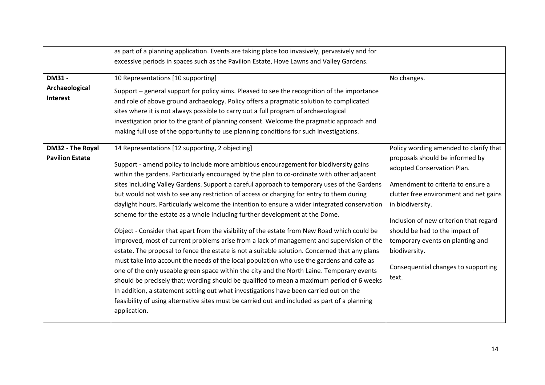|                                             | as part of a planning application. Events are taking place too invasively, pervasively and for<br>excessive periods in spaces such as the Pavilion Estate, Hove Lawns and Valley Gardens.                                                                                                                                                                                                                                                                                                                                                                                                                                                                                                                                                                                                                                                                                                                                                                                                                                                                                                                                                                                                                                                                                                                                                                                                                     |                                                                                                                                                                                                                                                                                                                                                                                             |
|---------------------------------------------|---------------------------------------------------------------------------------------------------------------------------------------------------------------------------------------------------------------------------------------------------------------------------------------------------------------------------------------------------------------------------------------------------------------------------------------------------------------------------------------------------------------------------------------------------------------------------------------------------------------------------------------------------------------------------------------------------------------------------------------------------------------------------------------------------------------------------------------------------------------------------------------------------------------------------------------------------------------------------------------------------------------------------------------------------------------------------------------------------------------------------------------------------------------------------------------------------------------------------------------------------------------------------------------------------------------------------------------------------------------------------------------------------------------|---------------------------------------------------------------------------------------------------------------------------------------------------------------------------------------------------------------------------------------------------------------------------------------------------------------------------------------------------------------------------------------------|
| <b>DM31 -</b><br>Archaeological<br>Interest | 10 Representations [10 supporting]<br>Support - general support for policy aims. Pleased to see the recognition of the importance<br>and role of above ground archaeology. Policy offers a pragmatic solution to complicated<br>sites where it is not always possible to carry out a full program of archaeological<br>investigation prior to the grant of planning consent. Welcome the pragmatic approach and<br>making full use of the opportunity to use planning conditions for such investigations.                                                                                                                                                                                                                                                                                                                                                                                                                                                                                                                                                                                                                                                                                                                                                                                                                                                                                                     | No changes.                                                                                                                                                                                                                                                                                                                                                                                 |
| DM32 - The Royal<br><b>Pavilion Estate</b>  | 14 Representations [12 supporting, 2 objecting]<br>Support - amend policy to include more ambitious encouragement for biodiversity gains<br>within the gardens. Particularly encouraged by the plan to co-ordinate with other adjacent<br>sites including Valley Gardens. Support a careful approach to temporary uses of the Gardens<br>but would not wish to see any restriction of access or charging for entry to them during<br>daylight hours. Particularly welcome the intention to ensure a wider integrated conservation<br>scheme for the estate as a whole including further development at the Dome.<br>Object - Consider that apart from the visibility of the estate from New Road which could be<br>improved, most of current problems arise from a lack of management and supervision of the<br>estate. The proposal to fence the estate is not a suitable solution. Concerned that any plans<br>must take into account the needs of the local population who use the gardens and cafe as<br>one of the only useable green space within the city and the North Laine. Temporary events<br>should be precisely that; wording should be qualified to mean a maximum period of 6 weeks<br>In addition, a statement setting out what investigations have been carried out on the<br>feasibility of using alternative sites must be carried out and included as part of a planning<br>application. | Policy wording amended to clarify that<br>proposals should be informed by<br>adopted Conservation Plan.<br>Amendment to criteria to ensure a<br>clutter free environment and net gains<br>in biodiversity.<br>Inclusion of new criterion that regard<br>should be had to the impact of<br>temporary events on planting and<br>biodiversity.<br>Consequential changes to supporting<br>text. |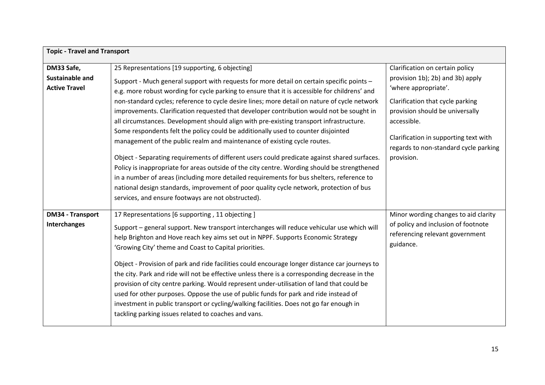| <b>Topic - Travel and Transport</b>                   |                                                                                                                                                                                                                                                                                                                                                                                                                                                                                                                                                                                                                                                                                                                                                                                                                                                                                                                                                                                                                                                                                                                                                     |                                                                                                                                                                                                                                                                                   |
|-------------------------------------------------------|-----------------------------------------------------------------------------------------------------------------------------------------------------------------------------------------------------------------------------------------------------------------------------------------------------------------------------------------------------------------------------------------------------------------------------------------------------------------------------------------------------------------------------------------------------------------------------------------------------------------------------------------------------------------------------------------------------------------------------------------------------------------------------------------------------------------------------------------------------------------------------------------------------------------------------------------------------------------------------------------------------------------------------------------------------------------------------------------------------------------------------------------------------|-----------------------------------------------------------------------------------------------------------------------------------------------------------------------------------------------------------------------------------------------------------------------------------|
| DM33 Safe,<br>Sustainable and<br><b>Active Travel</b> | 25 Representations [19 supporting, 6 objecting]<br>Support - Much general support with requests for more detail on certain specific points -<br>e.g. more robust wording for cycle parking to ensure that it is accessible for childrens' and<br>non-standard cycles; reference to cycle desire lines; more detail on nature of cycle network<br>improvements. Clarification requested that developer contribution would not be sought in<br>all circumstances. Development should align with pre-existing transport infrastructure.<br>Some respondents felt the policy could be additionally used to counter disjointed<br>management of the public realm and maintenance of existing cycle routes.<br>Object - Separating requirements of different users could predicate against shared surfaces.<br>Policy is inappropriate for areas outside of the city centre. Wording should be strengthened<br>in a number of areas (including more detailed requirements for bus shelters, reference to<br>national design standards, improvement of poor quality cycle network, protection of bus<br>services, and ensure footways are not obstructed). | Clarification on certain policy<br>provision 1b); 2b) and 3b) apply<br>'where appropriate'.<br>Clarification that cycle parking<br>provision should be universally<br>accessible.<br>Clarification in supporting text with<br>regards to non-standard cycle parking<br>provision. |
| <b>DM34 - Transport</b><br>Interchanges               | 17 Representations [6 supporting, 11 objecting]<br>Support - general support. New transport interchanges will reduce vehicular use which will<br>help Brighton and Hove reach key aims set out in NPPF. Supports Economic Strategy<br>'Growing City' theme and Coast to Capital priorities.<br>Object - Provision of park and ride facilities could encourage longer distance car journeys to<br>the city. Park and ride will not be effective unless there is a corresponding decrease in the<br>provision of city centre parking. Would represent under-utilisation of land that could be<br>used for other purposes. Oppose the use of public funds for park and ride instead of<br>investment in public transport or cycling/walking facilities. Does not go far enough in<br>tackling parking issues related to coaches and vans.                                                                                                                                                                                                                                                                                                              | Minor wording changes to aid clarity<br>of policy and inclusion of footnote<br>referencing relevant government<br>guidance.                                                                                                                                                       |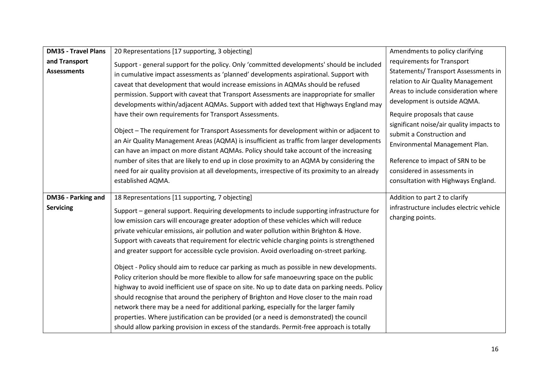| <b>DM35 - Travel Plans</b> | 20 Representations [17 supporting, 3 objecting]                                                 | Amendments to policy clarifying          |
|----------------------------|-------------------------------------------------------------------------------------------------|------------------------------------------|
| and Transport              | Support - general support for the policy. Only 'committed developments' should be included      | requirements for Transport               |
| <b>Assessments</b>         | in cumulative impact assessments as 'planned' developments aspirational. Support with           | Statements/ Transport Assessments in     |
|                            | caveat that development that would increase emissions in AQMAs should be refused                | relation to Air Quality Management       |
|                            | permission. Support with caveat that Transport Assessments are inappropriate for smaller        | Areas to include consideration where     |
|                            | developments within/adjacent AQMAs. Support with added text that Highways England may           | development is outside AQMA.             |
|                            | have their own requirements for Transport Assessments.                                          | Require proposals that cause             |
|                            |                                                                                                 | significant noise/air quality impacts to |
|                            | Object - The requirement for Transport Assessments for development within or adjacent to        | submit a Construction and                |
|                            | an Air Quality Management Areas (AQMA) is insufficient as traffic from larger developments      | Environmental Management Plan.           |
|                            | can have an impact on more distant AQMAs. Policy should take account of the increasing          |                                          |
|                            | number of sites that are likely to end up in close proximity to an AQMA by considering the      | Reference to impact of SRN to be         |
|                            | need for air quality provision at all developments, irrespective of its proximity to an already | considered in assessments in             |
|                            | established AQMA.                                                                               | consultation with Highways England.      |
|                            |                                                                                                 |                                          |
|                            |                                                                                                 |                                          |
| DM36 - Parking and         | 18 Representations [11 supporting, 7 objecting]                                                 | Addition to part 2 to clarify            |
| <b>Servicing</b>           | Support – general support. Requiring developments to include supporting infrastructure for      | infrastructure includes electric vehicle |
|                            | low emission cars will encourage greater adoption of these vehicles which will reduce           | charging points.                         |
|                            | private vehicular emissions, air pollution and water pollution within Brighton & Hove.          |                                          |
|                            | Support with caveats that requirement for electric vehicle charging points is strengthened      |                                          |
|                            | and greater support for accessible cycle provision. Avoid overloading on-street parking.        |                                          |
|                            |                                                                                                 |                                          |
|                            | Object - Policy should aim to reduce car parking as much as possible in new developments.       |                                          |
|                            | Policy criterion should be more flexible to allow for safe manoeuvring space on the public      |                                          |
|                            | highway to avoid inefficient use of space on site. No up to date data on parking needs. Policy  |                                          |
|                            | should recognise that around the periphery of Brighton and Hove closer to the main road         |                                          |
|                            | network there may be a need for additional parking, especially for the larger family            |                                          |
|                            | properties. Where justification can be provided (or a need is demonstrated) the council         |                                          |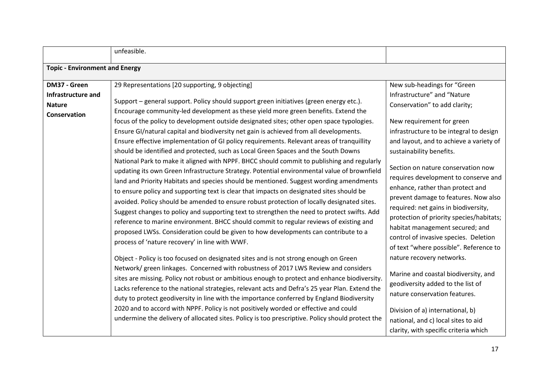|                                                                     | unfeasible.                                                                                                                                                                                                                                                                                                                                                                                                                                                                                                                                                                                                                                                                                                                                                                                                                                                                                                                                                                                                                                                                                                                                                                                                                                                                                                                                                                                                                                                                                                                                                                                                                                                                                                                                                                                                                                                                                                                                                                                                                                                                                               |                                                                                                                                                                                                                                                                                                                                                                                                                                                                                                                                                                                                                                                                                                                                                                                                                                                                               |
|---------------------------------------------------------------------|-----------------------------------------------------------------------------------------------------------------------------------------------------------------------------------------------------------------------------------------------------------------------------------------------------------------------------------------------------------------------------------------------------------------------------------------------------------------------------------------------------------------------------------------------------------------------------------------------------------------------------------------------------------------------------------------------------------------------------------------------------------------------------------------------------------------------------------------------------------------------------------------------------------------------------------------------------------------------------------------------------------------------------------------------------------------------------------------------------------------------------------------------------------------------------------------------------------------------------------------------------------------------------------------------------------------------------------------------------------------------------------------------------------------------------------------------------------------------------------------------------------------------------------------------------------------------------------------------------------------------------------------------------------------------------------------------------------------------------------------------------------------------------------------------------------------------------------------------------------------------------------------------------------------------------------------------------------------------------------------------------------------------------------------------------------------------------------------------------------|-------------------------------------------------------------------------------------------------------------------------------------------------------------------------------------------------------------------------------------------------------------------------------------------------------------------------------------------------------------------------------------------------------------------------------------------------------------------------------------------------------------------------------------------------------------------------------------------------------------------------------------------------------------------------------------------------------------------------------------------------------------------------------------------------------------------------------------------------------------------------------|
| <b>Topic - Environment and Energy</b>                               |                                                                                                                                                                                                                                                                                                                                                                                                                                                                                                                                                                                                                                                                                                                                                                                                                                                                                                                                                                                                                                                                                                                                                                                                                                                                                                                                                                                                                                                                                                                                                                                                                                                                                                                                                                                                                                                                                                                                                                                                                                                                                                           |                                                                                                                                                                                                                                                                                                                                                                                                                                                                                                                                                                                                                                                                                                                                                                                                                                                                               |
| DM37 - Green<br>Infrastructure and<br><b>Nature</b><br>Conservation | 29 Representations [20 supporting, 9 objecting]<br>Support - general support. Policy should support green initiatives (green energy etc.).<br>Encourage community-led development as these yield more green benefits. Extend the<br>focus of the policy to development outside designated sites; other open space typologies.<br>Ensure GI/natural capital and biodiversity net gain is achieved from all developments.<br>Ensure effective implementation of GI policy requirements. Relevant areas of tranquillity<br>should be identified and protected, such as Local Green Spaces and the South Downs<br>National Park to make it aligned with NPPF. BHCC should commit to publishing and regularly<br>updating its own Green Infrastructure Strategy. Potential environmental value of brownfield<br>land and Priority Habitats and species should be mentioned. Suggest wording amendments<br>to ensure policy and supporting text is clear that impacts on designated sites should be<br>avoided. Policy should be amended to ensure robust protection of locally designated sites.<br>Suggest changes to policy and supporting text to strengthen the need to protect swifts. Add<br>reference to marine environment. BHCC should commit to regular reviews of existing and<br>proposed LWSs. Consideration could be given to how developments can contribute to a<br>process of 'nature recovery' in line with WWF.<br>Object - Policy is too focused on designated sites and is not strong enough on Green<br>Network/ green linkages. Concerned with robustness of 2017 LWS Review and considers<br>sites are missing. Policy not robust or ambitious enough to protect and enhance biodiversity.<br>Lacks reference to the national strategies, relevant acts and Defra's 25 year Plan. Extend the<br>duty to protect geodiversity in line with the importance conferred by England Biodiversity<br>2020 and to accord with NPPF. Policy is not positively worded or effective and could<br>undermine the delivery of allocated sites. Policy is too prescriptive. Policy should protect the | New sub-headings for "Green<br>Infrastructure" and "Nature<br>Conservation" to add clarity;<br>New requirement for green<br>infrastructure to be integral to design<br>and layout, and to achieve a variety of<br>sustainability benefits.<br>Section on nature conservation now<br>requires development to conserve and<br>enhance, rather than protect and<br>prevent damage to features. Now also<br>required: net gains in biodiversity,<br>protection of priority species/habitats;<br>habitat management secured; and<br>control of invasive species. Deletion<br>of text "where possible". Reference to<br>nature recovery networks.<br>Marine and coastal biodiversity, and<br>geodiversity added to the list of<br>nature conservation features.<br>Division of a) international, b)<br>national, and c) local sites to aid<br>clarity, with specific criteria which |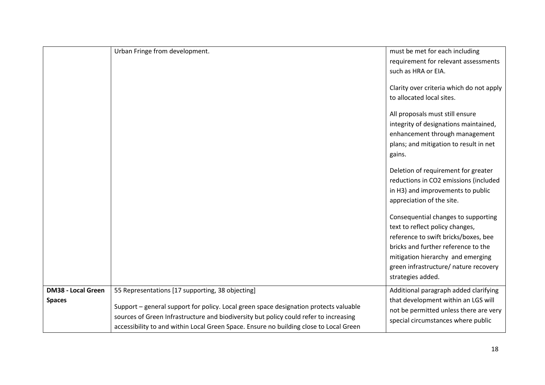|                           | Urban Fringe from development.                                                         | must be met for each including           |
|---------------------------|----------------------------------------------------------------------------------------|------------------------------------------|
|                           |                                                                                        | requirement for relevant assessments     |
|                           |                                                                                        | such as HRA or EIA.                      |
|                           |                                                                                        | Clarity over criteria which do not apply |
|                           |                                                                                        | to allocated local sites.                |
|                           |                                                                                        | All proposals must still ensure          |
|                           |                                                                                        | integrity of designations maintained,    |
|                           |                                                                                        | enhancement through management           |
|                           |                                                                                        | plans; and mitigation to result in net   |
|                           |                                                                                        | gains.                                   |
|                           |                                                                                        | Deletion of requirement for greater      |
|                           |                                                                                        | reductions in CO2 emissions (included    |
|                           |                                                                                        | in H3) and improvements to public        |
|                           |                                                                                        | appreciation of the site.                |
|                           |                                                                                        | Consequential changes to supporting      |
|                           |                                                                                        | text to reflect policy changes,          |
|                           |                                                                                        | reference to swift bricks/boxes, bee     |
|                           |                                                                                        | bricks and further reference to the      |
|                           |                                                                                        | mitigation hierarchy and emerging        |
|                           |                                                                                        | green infrastructure/ nature recovery    |
|                           |                                                                                        | strategies added.                        |
| <b>DM38 - Local Green</b> | 55 Representations [17 supporting, 38 objecting]                                       | Additional paragraph added clarifying    |
| <b>Spaces</b>             |                                                                                        | that development within an LGS will      |
|                           | Support - general support for policy. Local green space designation protects valuable  | not be permitted unless there are very   |
|                           | sources of Green Infrastructure and biodiversity but policy could refer to increasing  | special circumstances where public       |
|                           | accessibility to and within Local Green Space. Ensure no building close to Local Green |                                          |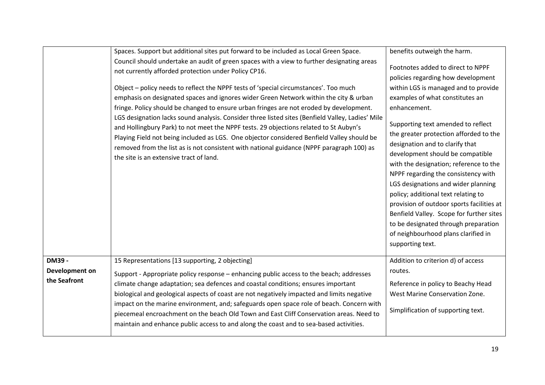|                                | Spaces. Support but additional sites put forward to be included as Local Green Space.<br>Council should undertake an audit of green spaces with a view to further designating areas<br>not currently afforded protection under Policy CP16.<br>Object – policy needs to reflect the NPPF tests of 'special circumstances'. Too much<br>emphasis on designated spaces and ignores wider Green Network within the city & urban<br>fringe. Policy should be changed to ensure urban fringes are not eroded by development.<br>LGS designation lacks sound analysis. Consider three listed sites (Benfield Valley, Ladies' Mile<br>and Hollingbury Park) to not meet the NPPF tests. 29 objections related to St Aubyn's<br>Playing Field not being included as LGS. One objector considered Benfield Valley should be<br>removed from the list as is not consistent with national guidance (NPPF paragraph 100) as<br>the site is an extensive tract of land. | benefits outweigh the harm.<br>Footnotes added to direct to NPPF<br>policies regarding how development<br>within LGS is managed and to provide<br>examples of what constitutes an<br>enhancement.<br>Supporting text amended to reflect<br>the greater protection afforded to the<br>designation and to clarify that<br>development should be compatible<br>with the designation; reference to the<br>NPPF regarding the consistency with<br>LGS designations and wider planning<br>policy; additional text relating to<br>provision of outdoor sports facilities at<br>Benfield Valley. Scope for further sites<br>to be designated through preparation<br>of neighbourhood plans clarified in |
|--------------------------------|------------------------------------------------------------------------------------------------------------------------------------------------------------------------------------------------------------------------------------------------------------------------------------------------------------------------------------------------------------------------------------------------------------------------------------------------------------------------------------------------------------------------------------------------------------------------------------------------------------------------------------------------------------------------------------------------------------------------------------------------------------------------------------------------------------------------------------------------------------------------------------------------------------------------------------------------------------|-------------------------------------------------------------------------------------------------------------------------------------------------------------------------------------------------------------------------------------------------------------------------------------------------------------------------------------------------------------------------------------------------------------------------------------------------------------------------------------------------------------------------------------------------------------------------------------------------------------------------------------------------------------------------------------------------|
|                                |                                                                                                                                                                                                                                                                                                                                                                                                                                                                                                                                                                                                                                                                                                                                                                                                                                                                                                                                                            | supporting text.                                                                                                                                                                                                                                                                                                                                                                                                                                                                                                                                                                                                                                                                                |
| <b>DM39 -</b>                  | 15 Representations [13 supporting, 2 objecting]                                                                                                                                                                                                                                                                                                                                                                                                                                                                                                                                                                                                                                                                                                                                                                                                                                                                                                            | Addition to criterion d) of access                                                                                                                                                                                                                                                                                                                                                                                                                                                                                                                                                                                                                                                              |
| Development on<br>the Seafront | Support - Appropriate policy response - enhancing public access to the beach; addresses<br>climate change adaptation; sea defences and coastal conditions; ensures important<br>biological and geological aspects of coast are not negatively impacted and limits negative<br>impact on the marine environment, and; safeguards open space role of beach. Concern with<br>piecemeal encroachment on the beach Old Town and East Cliff Conservation areas. Need to<br>maintain and enhance public access to and along the coast and to sea-based activities.                                                                                                                                                                                                                                                                                                                                                                                                | routes.<br>Reference in policy to Beachy Head<br>West Marine Conservation Zone.<br>Simplification of supporting text.                                                                                                                                                                                                                                                                                                                                                                                                                                                                                                                                                                           |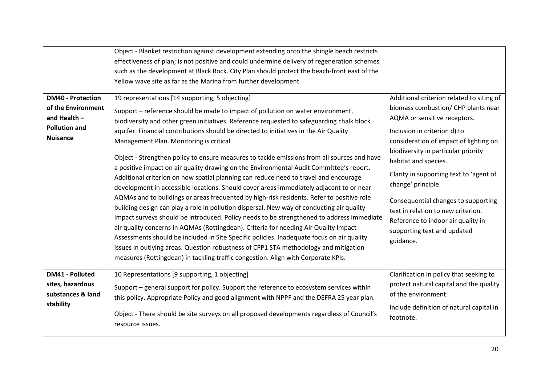| <b>DM40 - Protection</b><br>of the Environment<br>and Health $-$<br><b>Pollution and</b><br><b>Nuisance</b> | Object - Blanket restriction against development extending onto the shingle beach restricts<br>effectiveness of plan; is not positive and could undermine delivery of regeneration schemes<br>such as the development at Black Rock. City Plan should protect the beach-front east of the<br>Yellow wave site as far as the Marina from further development.<br>19 representations [14 supporting, 5 objecting]<br>Support - reference should be made to impact of pollution on water environment,<br>biodiversity and other green initiatives. Reference requested to safeguarding chalk block<br>aquifer. Financial contributions should be directed to initiatives in the Air Quality<br>Management Plan. Monitoring is critical.<br>Object - Strengthen policy to ensure measures to tackle emissions from all sources and have<br>a positive impact on air quality drawing on the Environmental Audit Committee's report.<br>Additional criterion on how spatial planning can reduce need to travel and encourage<br>development in accessible locations. Should cover areas immediately adjacent to or near<br>AQMAs and to buildings or areas frequented by high-risk residents. Refer to positive role<br>building design can play a role in pollution dispersal. New way of conducting air quality<br>impact surveys should be introduced. Policy needs to be strengthened to address immediate<br>air quality concerns in AQMAs (Rottingdean). Criteria for needing Air Quality Impact<br>Assessments should be included in Site Specific policies. Inadequate focus on air quality<br>issues in outlying areas. Question robustness of CPP1 STA methodology and mitigation<br>measures (Rottingdean) in tackling traffic congestion. Align with Corporate KPIs. | Additional criterion related to siting of<br>biomass combustion/ CHP plants near<br>AQMA or sensitive receptors.<br>Inclusion in criterion d) to<br>consideration of impact of lighting on<br>biodiversity in particular priority<br>habitat and species.<br>Clarity in supporting text to 'agent of<br>change' principle.<br>Consequential changes to supporting<br>text in relation to new criterion.<br>Reference to indoor air quality in<br>supporting text and updated<br>guidance. |
|-------------------------------------------------------------------------------------------------------------|----------------------------------------------------------------------------------------------------------------------------------------------------------------------------------------------------------------------------------------------------------------------------------------------------------------------------------------------------------------------------------------------------------------------------------------------------------------------------------------------------------------------------------------------------------------------------------------------------------------------------------------------------------------------------------------------------------------------------------------------------------------------------------------------------------------------------------------------------------------------------------------------------------------------------------------------------------------------------------------------------------------------------------------------------------------------------------------------------------------------------------------------------------------------------------------------------------------------------------------------------------------------------------------------------------------------------------------------------------------------------------------------------------------------------------------------------------------------------------------------------------------------------------------------------------------------------------------------------------------------------------------------------------------------------------------------------------------------------------------------------------------------------|-------------------------------------------------------------------------------------------------------------------------------------------------------------------------------------------------------------------------------------------------------------------------------------------------------------------------------------------------------------------------------------------------------------------------------------------------------------------------------------------|
| <b>DM41 - Polluted</b><br>sites, hazardous<br>substances & land<br>stability                                | 10 Representations [9 supporting, 1 objecting]<br>Support - general support for policy. Support the reference to ecosystem services within<br>this policy. Appropriate Policy and good alignment with NPPF and the DEFRA 25 year plan.<br>Object - There should be site surveys on all proposed developments regardless of Council's<br>resource issues.                                                                                                                                                                                                                                                                                                                                                                                                                                                                                                                                                                                                                                                                                                                                                                                                                                                                                                                                                                                                                                                                                                                                                                                                                                                                                                                                                                                                                   | Clarification in policy that seeking to<br>protect natural capital and the quality<br>of the environment.<br>Include definition of natural capital in<br>footnote.                                                                                                                                                                                                                                                                                                                        |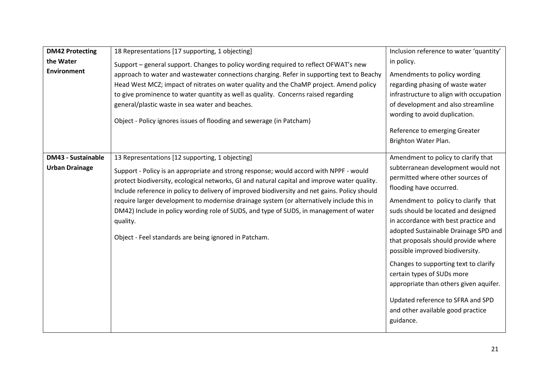| <b>DM42 Protecting</b><br>the Water<br><b>Environment</b> | 18 Representations [17 supporting, 1 objecting]<br>Support - general support. Changes to policy wording required to reflect OFWAT's new<br>approach to water and wastewater connections charging. Refer in supporting text to Beachy<br>Head West MCZ; impact of nitrates on water quality and the ChaMP project. Amend policy<br>to give prominence to water quantity as well as quality. Concerns raised regarding<br>general/plastic waste in sea water and beaches.<br>Object - Policy ignores issues of flooding and sewerage (in Patcham)                                                        | Inclusion reference to water 'quantity'<br>in policy.<br>Amendments to policy wording<br>regarding phasing of waste water<br>infrastructure to align with occupation<br>of development and also streamline<br>wording to avoid duplication.<br>Reference to emerging Greater<br>Brighton Water Plan.                                                                                                                                                                                                                                                                                     |
|-----------------------------------------------------------|--------------------------------------------------------------------------------------------------------------------------------------------------------------------------------------------------------------------------------------------------------------------------------------------------------------------------------------------------------------------------------------------------------------------------------------------------------------------------------------------------------------------------------------------------------------------------------------------------------|------------------------------------------------------------------------------------------------------------------------------------------------------------------------------------------------------------------------------------------------------------------------------------------------------------------------------------------------------------------------------------------------------------------------------------------------------------------------------------------------------------------------------------------------------------------------------------------|
| <b>DM43 - Sustainable</b><br><b>Urban Drainage</b>        | 13 Representations [12 supporting, 1 objecting]<br>Support - Policy is an appropriate and strong response; would accord with NPPF - would<br>protect biodiversity, ecological networks, GI and natural capital and improve water quality.<br>Include reference in policy to delivery of improved biodiversity and net gains. Policy should<br>require larger development to modernise drainage system (or alternatively include this in<br>DM42) Include in policy wording role of SUDS, and type of SUDS, in management of water<br>quality.<br>Object - Feel standards are being ignored in Patcham. | Amendment to policy to clarify that<br>subterranean development would not<br>permitted where other sources of<br>flooding have occurred.<br>Amendment to policy to clarify that<br>suds should be located and designed<br>in accordance with best practice and<br>adopted Sustainable Drainage SPD and<br>that proposals should provide where<br>possible improved biodiversity.<br>Changes to supporting text to clarify<br>certain types of SUDs more<br>appropriate than others given aquifer.<br>Updated reference to SFRA and SPD<br>and other available good practice<br>guidance. |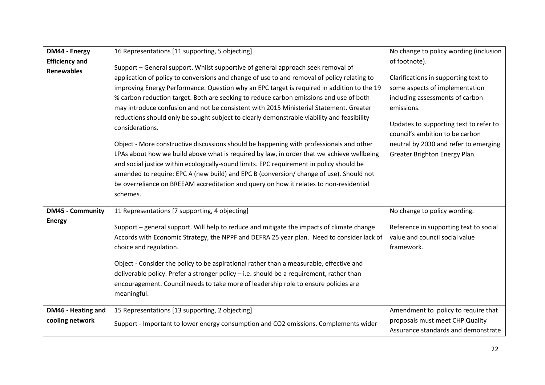| DM44 - Energy           | 16 Representations [11 supporting, 5 objecting]                                             | No change to policy wording (inclusion                                   |
|-------------------------|---------------------------------------------------------------------------------------------|--------------------------------------------------------------------------|
| <b>Efficiency and</b>   |                                                                                             | of footnote).                                                            |
| <b>Renewables</b>       | Support - General support. Whilst supportive of general approach seek removal of            |                                                                          |
|                         | application of policy to conversions and change of use to and removal of policy relating to | Clarifications in supporting text to                                     |
|                         | improving Energy Performance. Question why an EPC target is required in addition to the 19  | some aspects of implementation                                           |
|                         | % carbon reduction target. Both are seeking to reduce carbon emissions and use of both      | including assessments of carbon                                          |
|                         | may introduce confusion and not be consistent with 2015 Ministerial Statement. Greater      | emissions.                                                               |
|                         | reductions should only be sought subject to clearly demonstrable viability and feasibility  |                                                                          |
|                         | considerations.                                                                             | Updates to supporting text to refer to                                   |
|                         |                                                                                             | council's ambition to be carbon                                          |
|                         | Object - More constructive discussions should be happening with professionals and other     | neutral by 2030 and refer to emerging                                    |
|                         | LPAs about how we build above what is required by law, in order that we achieve wellbeing   | Greater Brighton Energy Plan.                                            |
|                         | and social justice within ecologically-sound limits. EPC requirement in policy should be    |                                                                          |
|                         | amended to require: EPC A (new build) and EPC B (conversion/ change of use). Should not     |                                                                          |
|                         | be overreliance on BREEAM accreditation and query on how it relates to non-residential      |                                                                          |
|                         | schemes.                                                                                    |                                                                          |
|                         |                                                                                             |                                                                          |
| <b>DM45 - Community</b> | 11 Representations [7 supporting, 4 objecting]                                              | No change to policy wording.                                             |
| <b>Energy</b>           |                                                                                             |                                                                          |
|                         | Support - general support. Will help to reduce and mitigate the impacts of climate change   | Reference in supporting text to social<br>value and council social value |
|                         | Accords with Economic Strategy, the NPPF and DEFRA 25 year plan. Need to consider lack of   |                                                                          |
|                         | choice and regulation.                                                                      | framework.                                                               |
|                         | Object - Consider the policy to be aspirational rather than a measurable, effective and     |                                                                          |
|                         | deliverable policy. Prefer a stronger policy - i.e. should be a requirement, rather than    |                                                                          |
|                         | encouragement. Council needs to take more of leadership role to ensure policies are         |                                                                          |
|                         | meaningful.                                                                                 |                                                                          |
|                         |                                                                                             |                                                                          |
| DM46 - Heating and      | 15 Representations [13 supporting, 2 objecting]                                             | Amendment to policy to require that                                      |
| cooling network         | Support - Important to lower energy consumption and CO2 emissions. Complements wider        | proposals must meet CHP Quality                                          |
|                         |                                                                                             | Assurance standards and demonstrate                                      |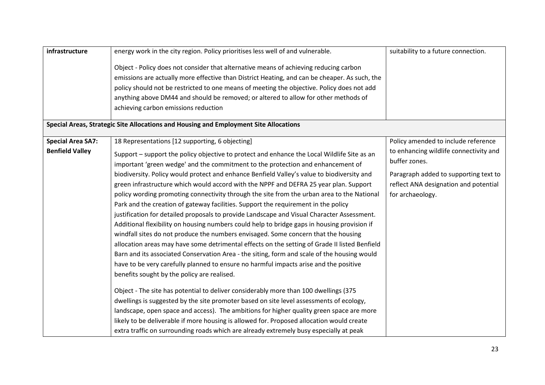| infrastructure           | energy work in the city region. Policy prioritises less well of and vulnerable.               | suitability to a future connection.    |
|--------------------------|-----------------------------------------------------------------------------------------------|----------------------------------------|
|                          | Object - Policy does not consider that alternative means of achieving reducing carbon         |                                        |
|                          | emissions are actually more effective than District Heating, and can be cheaper. As such, the |                                        |
|                          | policy should not be restricted to one means of meeting the objective. Policy does not add    |                                        |
|                          | anything above DM44 and should be removed; or altered to allow for other methods of           |                                        |
|                          | achieving carbon emissions reduction                                                          |                                        |
|                          | Special Areas, Strategic Site Allocations and Housing and Employment Site Allocations         |                                        |
| <b>Special Area SA7:</b> | 18 Representations [12 supporting, 6 objecting]                                               | Policy amended to include reference    |
| <b>Benfield Valley</b>   | Support - support the policy objective to protect and enhance the Local Wildlife Site as an   | to enhancing wildlife connectivity and |
|                          | important 'green wedge' and the commitment to the protection and enhancement of               | buffer zones.                          |
|                          | biodiversity. Policy would protect and enhance Benfield Valley's value to biodiversity and    | Paragraph added to supporting text to  |
|                          | green infrastructure which would accord with the NPPF and DEFRA 25 year plan. Support         | reflect ANA designation and potential  |
|                          | policy wording promoting connectivity through the site from the urban area to the National    | for archaeology.                       |
|                          | Park and the creation of gateway facilities. Support the requirement in the policy            |                                        |
|                          | justification for detailed proposals to provide Landscape and Visual Character Assessment.    |                                        |
|                          | Additional flexibility on housing numbers could help to bridge gaps in housing provision if   |                                        |
|                          | windfall sites do not produce the numbers envisaged. Some concern that the housing            |                                        |
|                          | allocation areas may have some detrimental effects on the setting of Grade II listed Benfield |                                        |
|                          | Barn and its associated Conservation Area - the siting, form and scale of the housing would   |                                        |
|                          | have to be very carefully planned to ensure no harmful impacts arise and the positive         |                                        |
|                          | benefits sought by the policy are realised.                                                   |                                        |
|                          | Object - The site has potential to deliver considerably more than 100 dwellings (375          |                                        |
|                          | dwellings is suggested by the site promoter based on site level assessments of ecology,       |                                        |
|                          | landscape, open space and access). The ambitions for higher quality green space are more      |                                        |
|                          | likely to be deliverable if more housing is allowed for. Proposed allocation would create     |                                        |
|                          | extra traffic on surrounding roads which are already extremely busy especially at peak        |                                        |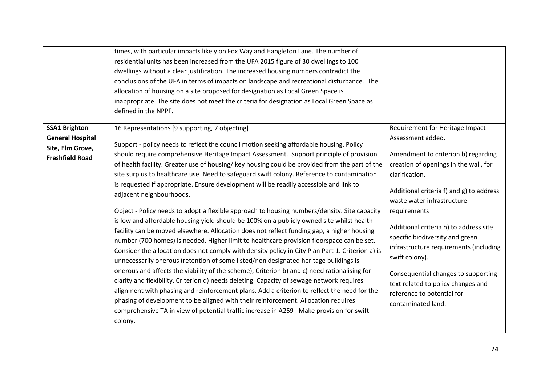|                                                                       | times, with particular impacts likely on Fox Way and Hangleton Lane. The number of<br>residential units has been increased from the UFA 2015 figure of 30 dwellings to 100<br>dwellings without a clear justification. The increased housing numbers contradict the<br>conclusions of the UFA in terms of impacts on landscape and recreational disturbance. The<br>allocation of housing on a site proposed for designation as Local Green Space is<br>inappropriate. The site does not meet the criteria for designation as Local Green Space as<br>defined in the NPPF.                                                                                                                                                                                                                                                                                                                                                                                                                                                                                                 |                                                                                                                                                                                                                                                                                        |
|-----------------------------------------------------------------------|----------------------------------------------------------------------------------------------------------------------------------------------------------------------------------------------------------------------------------------------------------------------------------------------------------------------------------------------------------------------------------------------------------------------------------------------------------------------------------------------------------------------------------------------------------------------------------------------------------------------------------------------------------------------------------------------------------------------------------------------------------------------------------------------------------------------------------------------------------------------------------------------------------------------------------------------------------------------------------------------------------------------------------------------------------------------------|----------------------------------------------------------------------------------------------------------------------------------------------------------------------------------------------------------------------------------------------------------------------------------------|
| <b>General Hospital</b><br>Site, Elm Grove,<br><b>Freshfield Road</b> | Support - policy needs to reflect the council motion seeking affordable housing. Policy<br>should require comprehensive Heritage Impact Assessment. Support principle of provision<br>of health facility. Greater use of housing/key housing could be provided from the part of the<br>site surplus to healthcare use. Need to safeguard swift colony. Reference to contamination<br>is requested if appropriate. Ensure development will be readily accessible and link to<br>adjacent neighbourhoods.                                                                                                                                                                                                                                                                                                                                                                                                                                                                                                                                                                    | Assessment added.<br>Amendment to criterion b) regarding<br>creation of openings in the wall, for<br>clarification.<br>Additional criteria f) and g) to address<br>waste water infrastructure                                                                                          |
|                                                                       | Object - Policy needs to adopt a flexible approach to housing numbers/density. Site capacity<br>is low and affordable housing yield should be 100% on a publicly owned site whilst health<br>facility can be moved elsewhere. Allocation does not reflect funding gap, a higher housing<br>number (700 homes) is needed. Higher limit to healthcare provision floorspace can be set.<br>Consider the allocation does not comply with density policy in City Plan Part 1. Criterion a) is<br>unnecessarily onerous (retention of some listed/non designated heritage buildings is<br>onerous and affects the viability of the scheme), Criterion b) and c) need rationalising for<br>clarity and flexibility. Criterion d) needs deleting. Capacity of sewage network requires<br>alignment with phasing and reinforcement plans. Add a criterion to reflect the need for the<br>phasing of development to be aligned with their reinforcement. Allocation requires<br>comprehensive TA in view of potential traffic increase in A259 . Make provision for swift<br>colony. | requirements<br>Additional criteria h) to address site<br>specific biodiversity and green<br>infrastructure requirements (including<br>swift colony).<br>Consequential changes to supporting<br>text related to policy changes and<br>reference to potential for<br>contaminated land. |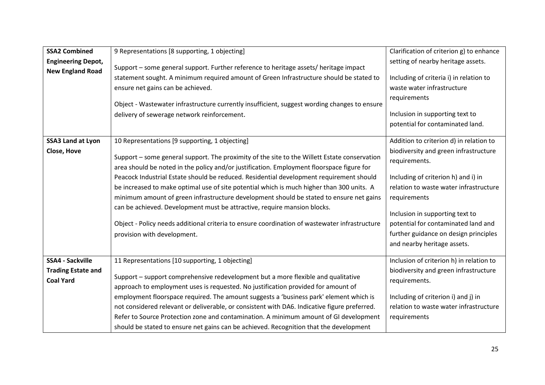| <b>SSA2 Combined</b>      | 9 Representations [8 supporting, 1 objecting]                                                 | Clarification of criterion g) to enhance |
|---------------------------|-----------------------------------------------------------------------------------------------|------------------------------------------|
| <b>Engineering Depot,</b> |                                                                                               | setting of nearby heritage assets.       |
| <b>New England Road</b>   | Support - some general support. Further reference to heritage assets/ heritage impact         |                                          |
|                           | statement sought. A minimum required amount of Green Infrastructure should be stated to       | Including of criteria i) in relation to  |
|                           | ensure net gains can be achieved.                                                             | waste water infrastructure               |
|                           |                                                                                               | requirements                             |
|                           | Object - Wastewater infrastructure currently insufficient, suggest wording changes to ensure  |                                          |
|                           | delivery of sewerage network reinforcement.                                                   | Inclusion in supporting text to          |
|                           |                                                                                               | potential for contaminated land.         |
| <b>SSA3 Land at Lyon</b>  | 10 Representations [9 supporting, 1 objecting]                                                | Addition to criterion d) in relation to  |
| Close, Hove               |                                                                                               | biodiversity and green infrastructure    |
|                           | Support - some general support. The proximity of the site to the Willett Estate conservation  | requirements.                            |
|                           | area should be noted in the policy and/or justification. Employment floorspace figure for     |                                          |
|                           | Peacock Industrial Estate should be reduced. Residential development requirement should       | Including of criterion h) and i) in      |
|                           | be increased to make optimal use of site potential which is much higher than 300 units. A     | relation to waste water infrastructure   |
|                           | minimum amount of green infrastructure development should be stated to ensure net gains       | requirements                             |
|                           | can be achieved. Development must be attractive, require mansion blocks.                      |                                          |
|                           |                                                                                               | Inclusion in supporting text to          |
|                           | Object - Policy needs additional criteria to ensure coordination of wastewater infrastructure | potential for contaminated land and      |
|                           | provision with development.                                                                   | further guidance on design principles    |
|                           |                                                                                               | and nearby heritage assets.              |
| <b>SSA4 - Sackville</b>   | 11 Representations [10 supporting, 1 objecting]                                               | Inclusion of criterion h) in relation to |
| <b>Trading Estate and</b> |                                                                                               | biodiversity and green infrastructure    |
| <b>Coal Yard</b>          | Support - support comprehensive redevelopment but a more flexible and qualitative             | requirements.                            |
|                           | approach to employment uses is requested. No justification provided for amount of             |                                          |
|                           | employment floorspace required. The amount suggests a 'business park' element which is        | Including of criterion i) and j) in      |
|                           | not considered relevant or deliverable, or consistent with DA6. Indicative figure preferred.  | relation to waste water infrastructure   |
|                           | Refer to Source Protection zone and contamination. A minimum amount of GI development         | requirements                             |
|                           | should be stated to ensure net gains can be achieved. Recognition that the development        |                                          |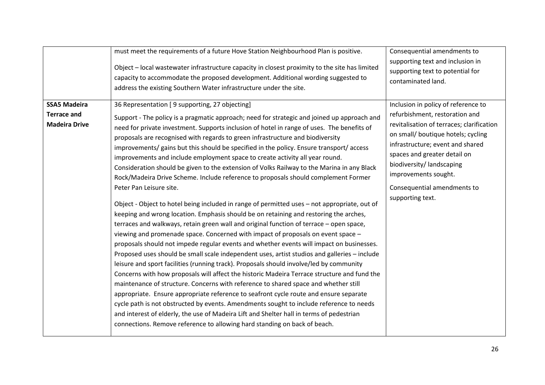|                                                                   | must meet the requirements of a future Hove Station Neighbourhood Plan is positive.<br>Object - local wastewater infrastructure capacity in closest proximity to the site has limited<br>capacity to accommodate the proposed development. Additional wording suggested to<br>address the existing Southern Water infrastructure under the site.                                                                                                                                                                                                                                                                                                                                                                                                                                                                                                                                                                                                                                                                                                                                                                                                                                                                                                                                                                                                                                                                                                                                                                                                                                                                                                                                                                                                                                                                                                                                                                                           | Consequential amendments to<br>supporting text and inclusion in<br>supporting text to potential for<br>contaminated land.                                                                                                                                                                                                           |
|-------------------------------------------------------------------|--------------------------------------------------------------------------------------------------------------------------------------------------------------------------------------------------------------------------------------------------------------------------------------------------------------------------------------------------------------------------------------------------------------------------------------------------------------------------------------------------------------------------------------------------------------------------------------------------------------------------------------------------------------------------------------------------------------------------------------------------------------------------------------------------------------------------------------------------------------------------------------------------------------------------------------------------------------------------------------------------------------------------------------------------------------------------------------------------------------------------------------------------------------------------------------------------------------------------------------------------------------------------------------------------------------------------------------------------------------------------------------------------------------------------------------------------------------------------------------------------------------------------------------------------------------------------------------------------------------------------------------------------------------------------------------------------------------------------------------------------------------------------------------------------------------------------------------------------------------------------------------------------------------------------------------------|-------------------------------------------------------------------------------------------------------------------------------------------------------------------------------------------------------------------------------------------------------------------------------------------------------------------------------------|
| <b>SSA5 Madeira</b><br><b>Terrace and</b><br><b>Madeira Drive</b> | 36 Representation [9 supporting, 27 objecting]<br>Support - The policy is a pragmatic approach; need for strategic and joined up approach and<br>need for private investment. Supports inclusion of hotel in range of uses. The benefits of<br>proposals are recognised with regards to green infrastructure and biodiversity<br>improvements/ gains but this should be specified in the policy. Ensure transport/ access<br>improvements and include employment space to create activity all year round.<br>Consideration should be given to the extension of Volks Railway to the Marina in any Black<br>Rock/Madeira Drive Scheme. Include reference to proposals should complement Former<br>Peter Pan Leisure site.<br>Object - Object to hotel being included in range of permitted uses - not appropriate, out of<br>keeping and wrong location. Emphasis should be on retaining and restoring the arches,<br>terraces and walkways, retain green wall and original function of terrace - open space,<br>viewing and promenade space. Concerned with impact of proposals on event space -<br>proposals should not impede regular events and whether events will impact on businesses.<br>Proposed uses should be small scale independent uses, artist studios and galleries - include<br>leisure and sport facilities (running track). Proposals should involve/led by community<br>Concerns with how proposals will affect the historic Madeira Terrace structure and fund the<br>maintenance of structure. Concerns with reference to shared space and whether still<br>appropriate. Ensure appropriate reference to seafront cycle route and ensure separate<br>cycle path is not obstructed by events. Amendments sought to include reference to needs<br>and interest of elderly, the use of Madeira Lift and Shelter hall in terms of pedestrian<br>connections. Remove reference to allowing hard standing on back of beach. | Inclusion in policy of reference to<br>refurbishment, restoration and<br>revitalisation of terraces; clarification<br>on small/ boutique hotels; cycling<br>infrastructure; event and shared<br>spaces and greater detail on<br>biodiversity/landscaping<br>improvements sought.<br>Consequential amendments to<br>supporting text. |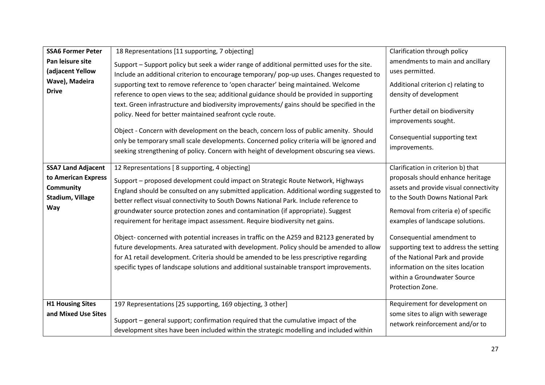| <b>SSA6 Former Peter</b><br>Pan leisure site<br>(adjacent Yellow<br>Wave), Madeira<br><b>Drive</b> | 18 Representations [11 supporting, 7 objecting]<br>Support - Support policy but seek a wider range of additional permitted uses for the site.<br>Include an additional criterion to encourage temporary/ pop-up uses. Changes requested to<br>supporting text to remove reference to 'open character' being maintained. Welcome<br>reference to open views to the sea; additional guidance should be provided in supporting<br>text. Green infrastructure and biodiversity improvements/ gains should be specified in the<br>policy. Need for better maintained seafront cycle route.                                                                                                                                                                                                                                                                                    | Clarification through policy<br>amendments to main and ancillary<br>uses permitted.<br>Additional criterion c) relating to<br>density of development<br>Further detail on biodiversity<br>improvements sought.                                                                                                                                                                                                                        |
|----------------------------------------------------------------------------------------------------|--------------------------------------------------------------------------------------------------------------------------------------------------------------------------------------------------------------------------------------------------------------------------------------------------------------------------------------------------------------------------------------------------------------------------------------------------------------------------------------------------------------------------------------------------------------------------------------------------------------------------------------------------------------------------------------------------------------------------------------------------------------------------------------------------------------------------------------------------------------------------|---------------------------------------------------------------------------------------------------------------------------------------------------------------------------------------------------------------------------------------------------------------------------------------------------------------------------------------------------------------------------------------------------------------------------------------|
|                                                                                                    | Object - Concern with development on the beach, concern loss of public amenity. Should<br>only be temporary small scale developments. Concerned policy criteria will be ignored and<br>seeking strengthening of policy. Concern with height of development obscuring sea views.                                                                                                                                                                                                                                                                                                                                                                                                                                                                                                                                                                                          | Consequential supporting text<br>improvements.                                                                                                                                                                                                                                                                                                                                                                                        |
| <b>SSA7 Land Adjacent</b><br>to American Express<br><b>Community</b><br>Stadium, Village<br>Way    | 12 Representations [ 8 supporting, 4 objecting]<br>Support - proposed development could impact on Strategic Route Network, Highways<br>England should be consulted on any submitted application. Additional wording suggested to<br>better reflect visual connectivity to South Downs National Park. Include reference to<br>groundwater source protection zones and contamination (if appropriate). Suggest<br>requirement for heritage impact assessment. Require biodiversity net gains.<br>Object-concerned with potential increases in traffic on the A259 and B2123 generated by<br>future developments. Area saturated with development. Policy should be amended to allow<br>for A1 retail development. Criteria should be amended to be less prescriptive regarding<br>specific types of landscape solutions and additional sustainable transport improvements. | Clarification in criterion b) that<br>proposals should enhance heritage<br>assets and provide visual connectivity<br>to the South Downs National Park<br>Removal from criteria e) of specific<br>examples of landscape solutions.<br>Consequential amendment to<br>supporting text to address the setting<br>of the National Park and provide<br>information on the sites location<br>within a Groundwater Source<br>Protection Zone. |
| <b>H1 Housing Sites</b><br>and Mixed Use Sites                                                     | 197 Representations [25 supporting, 169 objecting, 3 other]<br>Support - general support; confirmation required that the cumulative impact of the<br>development sites have been included within the strategic modelling and included within                                                                                                                                                                                                                                                                                                                                                                                                                                                                                                                                                                                                                             | Requirement for development on<br>some sites to align with sewerage<br>network reinforcement and/or to                                                                                                                                                                                                                                                                                                                                |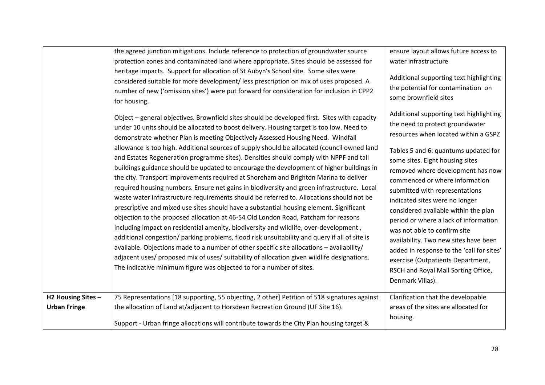|                                           | the agreed junction mitigations. Include reference to protection of groundwater source<br>protection zones and contaminated land where appropriate. Sites should be assessed for<br>heritage impacts. Support for allocation of St Aubyn's School site. Some sites were<br>considered suitable for more development/ less prescription on mix of uses proposed. A<br>number of new ('omission sites') were put forward for consideration for inclusion in CPP2<br>for housing.<br>Object - general objectives. Brownfield sites should be developed first. Sites with capacity<br>under 10 units should be allocated to boost delivery. Housing target is too low. Need to<br>demonstrate whether Plan is meeting Objectively Assessed Housing Need. Windfall<br>allowance is too high. Additional sources of supply should be allocated (council owned land<br>and Estates Regeneration programme sites). Densities should comply with NPPF and tall<br>buildings guidance should be updated to encourage the development of higher buildings in<br>the city. Transport improvements required at Shoreham and Brighton Marina to deliver<br>required housing numbers. Ensure net gains in biodiversity and green infrastructure. Local<br>waste water infrastructure requirements should be referred to. Allocations should not be<br>prescriptive and mixed use sites should have a substantial housing element. Significant<br>objection to the proposed allocation at 46-54 Old London Road, Patcham for reasons<br>including impact on residential amenity, biodiversity and wildlife, over-development,<br>additional congestion/ parking problems, flood risk unsuitability and query if all of site is<br>available. Objections made to a number of other specific site allocations - availability/<br>adjacent uses/ proposed mix of uses/ suitability of allocation given wildlife designations.<br>The indicative minimum figure was objected to for a number of sites. | ensure layout allows future access to<br>water infrastructure<br>Additional supporting text highlighting<br>the potential for contamination on<br>some brownfield sites<br>Additional supporting text highlighting<br>the need to protect groundwater<br>resources when located within a GSPZ<br>Tables 5 and 6: quantums updated for<br>some sites. Eight housing sites<br>removed where development has now<br>commenced or where information<br>submitted with representations<br>indicated sites were no longer<br>considered available within the plan<br>period or where a lack of information<br>was not able to confirm site<br>availability. Two new sites have been<br>added in response to the 'call for sites'<br>exercise (Outpatients Department,<br>RSCH and Royal Mail Sorting Office,<br>Denmark Villas). |
|-------------------------------------------|------------------------------------------------------------------------------------------------------------------------------------------------------------------------------------------------------------------------------------------------------------------------------------------------------------------------------------------------------------------------------------------------------------------------------------------------------------------------------------------------------------------------------------------------------------------------------------------------------------------------------------------------------------------------------------------------------------------------------------------------------------------------------------------------------------------------------------------------------------------------------------------------------------------------------------------------------------------------------------------------------------------------------------------------------------------------------------------------------------------------------------------------------------------------------------------------------------------------------------------------------------------------------------------------------------------------------------------------------------------------------------------------------------------------------------------------------------------------------------------------------------------------------------------------------------------------------------------------------------------------------------------------------------------------------------------------------------------------------------------------------------------------------------------------------------------------------------------------------------------------------------------------------------------------------------------------------------------------------------|----------------------------------------------------------------------------------------------------------------------------------------------------------------------------------------------------------------------------------------------------------------------------------------------------------------------------------------------------------------------------------------------------------------------------------------------------------------------------------------------------------------------------------------------------------------------------------------------------------------------------------------------------------------------------------------------------------------------------------------------------------------------------------------------------------------------------|
| H2 Housing Sites -<br><b>Urban Fringe</b> | 75 Representations [18 supporting, 55 objecting, 2 other] Petition of 518 signatures against<br>the allocation of Land at/adjacent to Horsdean Recreation Ground (UF Site 16).<br>Support - Urban fringe allocations will contribute towards the City Plan housing target &                                                                                                                                                                                                                                                                                                                                                                                                                                                                                                                                                                                                                                                                                                                                                                                                                                                                                                                                                                                                                                                                                                                                                                                                                                                                                                                                                                                                                                                                                                                                                                                                                                                                                                        | Clarification that the developable<br>areas of the sites are allocated for<br>housing.                                                                                                                                                                                                                                                                                                                                                                                                                                                                                                                                                                                                                                                                                                                                     |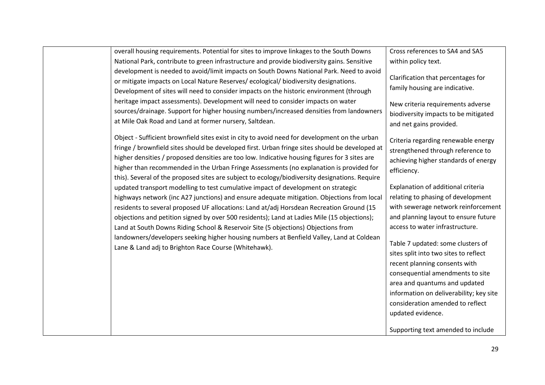| overall housing requirements. Potential for sites to improve linkages to the South Downs                                                                                                                                                                                                                                                                                                                                                                                                                                                                                                                            | Cross references to SA4 and SA5                                                                                                                                                                                                                                                                                                                                                                                                                                                    |
|---------------------------------------------------------------------------------------------------------------------------------------------------------------------------------------------------------------------------------------------------------------------------------------------------------------------------------------------------------------------------------------------------------------------------------------------------------------------------------------------------------------------------------------------------------------------------------------------------------------------|------------------------------------------------------------------------------------------------------------------------------------------------------------------------------------------------------------------------------------------------------------------------------------------------------------------------------------------------------------------------------------------------------------------------------------------------------------------------------------|
| National Park, contribute to green infrastructure and provide biodiversity gains. Sensitive                                                                                                                                                                                                                                                                                                                                                                                                                                                                                                                         | within policy text.                                                                                                                                                                                                                                                                                                                                                                                                                                                                |
| development is needed to avoid/limit impacts on South Downs National Park. Need to avoid<br>or mitigate impacts on Local Nature Reserves/ecological/biodiversity designations.<br>Development of sites will need to consider impacts on the historic environment (through                                                                                                                                                                                                                                                                                                                                           | Clarification that percentages for<br>family housing are indicative.                                                                                                                                                                                                                                                                                                                                                                                                               |
| heritage impact assessments). Development will need to consider impacts on water<br>sources/drainage. Support for higher housing numbers/increased densities from landowners<br>at Mile Oak Road and Land at former nursery, Saltdean.                                                                                                                                                                                                                                                                                                                                                                              | New criteria requirements adverse<br>biodiversity impacts to be mitigated<br>and net gains provided.                                                                                                                                                                                                                                                                                                                                                                               |
| Object - Sufficient brownfield sites exist in city to avoid need for development on the urban<br>fringe / brownfield sites should be developed first. Urban fringe sites should be developed at<br>higher densities / proposed densities are too low. Indicative housing figures for 3 sites are<br>higher than recommended in the Urban Fringe Assessments (no explanation is provided for<br>this). Several of the proposed sites are subject to ecology/biodiversity designations. Require                                                                                                                       | Criteria regarding renewable energy<br>strengthened through reference to<br>achieving higher standards of energy<br>efficiency.                                                                                                                                                                                                                                                                                                                                                    |
| updated transport modelling to test cumulative impact of development on strategic<br>highways network (inc A27 junctions) and ensure adequate mitigation. Objections from local<br>residents to several proposed UF allocations: Land at/adj Horsdean Recreation Ground (15<br>objections and petition signed by over 500 residents); Land at Ladies Mile (15 objections);<br>Land at South Downs Riding School & Reservoir Site (5 objections) Objections from<br>landowners/developers seeking higher housing numbers at Benfield Valley, Land at Coldean<br>Lane & Land adj to Brighton Race Course (Whitehawk). | Explanation of additional criteria<br>relating to phasing of development<br>with sewerage network reinforcement<br>and planning layout to ensure future<br>access to water infrastructure.<br>Table 7 updated: some clusters of<br>sites split into two sites to reflect<br>recent planning consents with<br>consequential amendments to site<br>area and quantums and updated<br>information on deliverability; key site<br>consideration amended to reflect<br>updated evidence. |
|                                                                                                                                                                                                                                                                                                                                                                                                                                                                                                                                                                                                                     | Supporting text amended to include                                                                                                                                                                                                                                                                                                                                                                                                                                                 |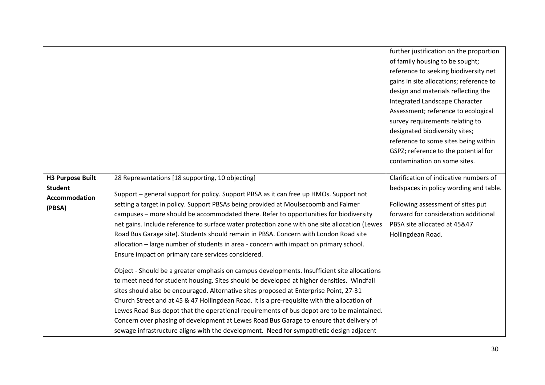|                                           |                                                                                               | further justification on the proportion |
|-------------------------------------------|-----------------------------------------------------------------------------------------------|-----------------------------------------|
|                                           |                                                                                               | of family housing to be sought;         |
|                                           |                                                                                               | reference to seeking biodiversity net   |
|                                           |                                                                                               | gains in site allocations; reference to |
|                                           |                                                                                               | design and materials reflecting the     |
|                                           |                                                                                               | Integrated Landscape Character          |
|                                           |                                                                                               | Assessment; reference to ecological     |
|                                           |                                                                                               | survey requirements relating to         |
|                                           |                                                                                               | designated biodiversity sites;          |
|                                           |                                                                                               | reference to some sites being within    |
|                                           |                                                                                               | GSPZ; reference to the potential for    |
|                                           |                                                                                               | contamination on some sites.            |
|                                           |                                                                                               | Clarification of indicative numbers of  |
| <b>H3 Purpose Built</b><br><b>Student</b> | 28 Representations [18 supporting, 10 objecting]                                              |                                         |
| Accommodation                             | Support - general support for policy. Support PBSA as it can free up HMOs. Support not        | bedspaces in policy wording and table.  |
| (PBSA)                                    | setting a target in policy. Support PBSAs being provided at Moulsecoomb and Falmer            | Following assessment of sites put       |
|                                           | campuses - more should be accommodated there. Refer to opportunities for biodiversity         | forward for consideration additional    |
|                                           | net gains. Include reference to surface water protection zone with one site allocation (Lewes | PBSA site allocated at 45&47            |
|                                           | Road Bus Garage site). Students should remain in PBSA. Concern with London Road site          | Hollingdean Road.                       |
|                                           | allocation - large number of students in area - concern with impact on primary school.        |                                         |
|                                           | Ensure impact on primary care services considered.                                            |                                         |
|                                           |                                                                                               |                                         |
|                                           | Object - Should be a greater emphasis on campus developments. Insufficient site allocations   |                                         |
|                                           | to meet need for student housing. Sites should be developed at higher densities. Windfall     |                                         |
|                                           | sites should also be encouraged. Alternative sites proposed at Enterprise Point, 27-31        |                                         |
|                                           | Church Street and at 45 & 47 Hollingdean Road. It is a pre-requisite with the allocation of   |                                         |
|                                           | Lewes Road Bus depot that the operational requirements of bus depot are to be maintained.     |                                         |
|                                           | Concern over phasing of development at Lewes Road Bus Garage to ensure that delivery of       |                                         |
|                                           | sewage infrastructure aligns with the development. Need for sympathetic design adjacent       |                                         |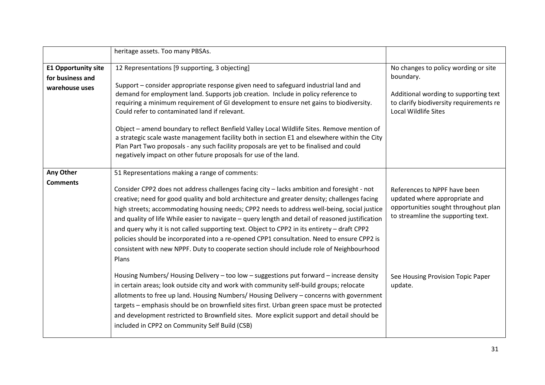|                            | heritage assets. Too many PBSAs.                                                                                                        |                                                                        |
|----------------------------|-----------------------------------------------------------------------------------------------------------------------------------------|------------------------------------------------------------------------|
| <b>E1 Opportunity site</b> | 12 Representations [9 supporting, 3 objecting]                                                                                          | No changes to policy wording or site                                   |
| for business and           |                                                                                                                                         | boundary.                                                              |
| warehouse uses             | Support – consider appropriate response given need to safeguard industrial land and                                                     |                                                                        |
|                            | demand for employment land. Supports job creation. Include in policy reference to                                                       | Additional wording to supporting text                                  |
|                            | requiring a minimum requirement of GI development to ensure net gains to biodiversity.<br>Could refer to contaminated land if relevant. | to clarify biodiversity requirements re<br><b>Local Wildlife Sites</b> |
|                            |                                                                                                                                         |                                                                        |
|                            | Object - amend boundary to reflect Benfield Valley Local Wildlife Sites. Remove mention of                                              |                                                                        |
|                            | a strategic scale waste management facility both in section E1 and elsewhere within the City                                            |                                                                        |
|                            | Plan Part Two proposals - any such facility proposals are yet to be finalised and could                                                 |                                                                        |
|                            | negatively impact on other future proposals for use of the land.                                                                        |                                                                        |
|                            |                                                                                                                                         |                                                                        |
| Any Other                  | 51 Representations making a range of comments:                                                                                          |                                                                        |
| <b>Comments</b>            | Consider CPP2 does not address challenges facing city - lacks ambition and foresight - not                                              | References to NPPF have been                                           |
|                            | creative; need for good quality and bold architecture and greater density; challenges facing                                            | updated where appropriate and                                          |
|                            | high streets; accommodating housing needs; CPP2 needs to address well-being, social justice                                             | opportunities sought throughout plan                                   |
|                            | and quality of life While easier to navigate - query length and detail of reasoned justification                                        | to streamline the supporting text.                                     |
|                            | and query why it is not called supporting text. Object to CPP2 in its entirety - draft CPP2                                             |                                                                        |
|                            | policies should be incorporated into a re-opened CPP1 consultation. Need to ensure CPP2 is                                              |                                                                        |
|                            | consistent with new NPPF. Duty to cooperate section should include role of Neighbourhood                                                |                                                                        |
|                            | Plans                                                                                                                                   |                                                                        |
|                            |                                                                                                                                         |                                                                        |
|                            | Housing Numbers/ Housing Delivery - too low - suggestions put forward - increase density                                                | See Housing Provision Topic Paper                                      |
|                            | in certain areas; look outside city and work with community self-build groups; relocate                                                 | update.                                                                |
|                            | allotments to free up land. Housing Numbers/ Housing Delivery - concerns with government                                                |                                                                        |
|                            | targets - emphasis should be on brownfield sites first. Urban green space must be protected                                             |                                                                        |
|                            | and development restricted to Brownfield sites. More explicit support and detail should be                                              |                                                                        |
|                            | included in CPP2 on Community Self Build (CSB)                                                                                          |                                                                        |
|                            |                                                                                                                                         |                                                                        |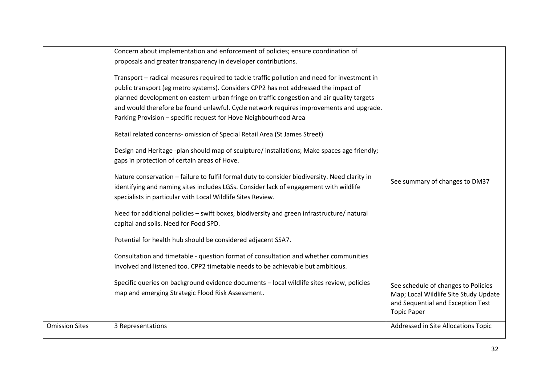|                       | Concern about implementation and enforcement of policies; ensure coordination of                                                                                                                                                                                                                                                                                                                                                                                                                                                                                                                                            |                                                                                                                                         |
|-----------------------|-----------------------------------------------------------------------------------------------------------------------------------------------------------------------------------------------------------------------------------------------------------------------------------------------------------------------------------------------------------------------------------------------------------------------------------------------------------------------------------------------------------------------------------------------------------------------------------------------------------------------------|-----------------------------------------------------------------------------------------------------------------------------------------|
|                       | proposals and greater transparency in developer contributions.                                                                                                                                                                                                                                                                                                                                                                                                                                                                                                                                                              |                                                                                                                                         |
|                       | Transport - radical measures required to tackle traffic pollution and need for investment in<br>public transport (eg metro systems). Considers CPP2 has not addressed the impact of<br>planned development on eastern urban fringe on traffic congestion and air quality targets<br>and would therefore be found unlawful. Cycle network requires improvements and upgrade.<br>Parking Provision - specific request for Hove Neighbourhood Area<br>Retail related concerns- omission of Special Retail Area (St James Street)<br>Design and Heritage -plan should map of sculpture/installations; Make spaces age friendly; |                                                                                                                                         |
|                       | gaps in protection of certain areas of Hove.<br>Nature conservation - failure to fulfil formal duty to consider biodiversity. Need clarity in<br>identifying and naming sites includes LGSs. Consider lack of engagement with wildlife<br>specialists in particular with Local Wildlife Sites Review.                                                                                                                                                                                                                                                                                                                       | See summary of changes to DM37                                                                                                          |
|                       | Need for additional policies - swift boxes, biodiversity and green infrastructure/ natural<br>capital and soils. Need for Food SPD.                                                                                                                                                                                                                                                                                                                                                                                                                                                                                         |                                                                                                                                         |
|                       | Potential for health hub should be considered adjacent SSA7.<br>Consultation and timetable - question format of consultation and whether communities                                                                                                                                                                                                                                                                                                                                                                                                                                                                        |                                                                                                                                         |
|                       | involved and listened too. CPP2 timetable needs to be achievable but ambitious.                                                                                                                                                                                                                                                                                                                                                                                                                                                                                                                                             |                                                                                                                                         |
|                       | Specific queries on background evidence documents - local wildlife sites review, policies<br>map and emerging Strategic Flood Risk Assessment.                                                                                                                                                                                                                                                                                                                                                                                                                                                                              | See schedule of changes to Policies<br>Map; Local Wildlife Site Study Update<br>and Sequential and Exception Test<br><b>Topic Paper</b> |
| <b>Omission Sites</b> | 3 Representations                                                                                                                                                                                                                                                                                                                                                                                                                                                                                                                                                                                                           | Addressed in Site Allocations Topic                                                                                                     |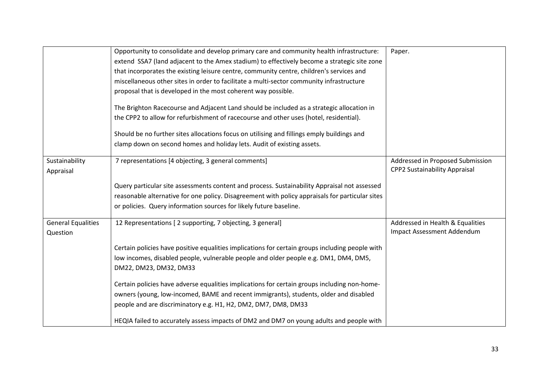|                                       | Opportunity to consolidate and develop primary care and community health infrastructure:        | Paper.                                                         |
|---------------------------------------|-------------------------------------------------------------------------------------------------|----------------------------------------------------------------|
|                                       | extend SSA7 (land adjacent to the Amex stadium) to effectively become a strategic site zone     |                                                                |
|                                       | that incorporates the existing leisure centre, community centre, children's services and        |                                                                |
|                                       | miscellaneous other sites in order to facilitate a multi-sector community infrastructure        |                                                                |
|                                       | proposal that is developed in the most coherent way possible.                                   |                                                                |
|                                       | The Brighton Racecourse and Adjacent Land should be included as a strategic allocation in       |                                                                |
|                                       | the CPP2 to allow for refurbishment of racecourse and other uses (hotel, residential).          |                                                                |
|                                       | Should be no further sites allocations focus on utilising and fillings emply buildings and      |                                                                |
|                                       | clamp down on second homes and holiday lets. Audit of existing assets.                          |                                                                |
| Sustainability                        | 7 representations [4 objecting, 3 general comments]                                             | Addressed in Proposed Submission                               |
| Appraisal                             |                                                                                                 | <b>CPP2 Sustainability Appraisal</b>                           |
|                                       | Query particular site assessments content and process. Sustainability Appraisal not assessed    |                                                                |
|                                       | reasonable alternative for one policy. Disagreement with policy appraisals for particular sites |                                                                |
|                                       |                                                                                                 |                                                                |
|                                       | or policies. Query information sources for likely future baseline.                              |                                                                |
| <b>General Equalities</b><br>Question | 12 Representations [2 supporting, 7 objecting, 3 general]                                       | Addressed in Health & Equalities<br>Impact Assessment Addendum |
|                                       | Certain policies have positive equalities implications for certain groups including people with |                                                                |
|                                       | low incomes, disabled people, vulnerable people and older people e.g. DM1, DM4, DM5,            |                                                                |
|                                       | DM22, DM23, DM32, DM33                                                                          |                                                                |
|                                       | Certain policies have adverse equalities implications for certain groups including non-home-    |                                                                |
|                                       | owners (young, low-incomed, BAME and recent immigrants), students, older and disabled           |                                                                |
|                                       | people and are discriminatory e.g. H1, H2, DM2, DM7, DM8, DM33                                  |                                                                |
|                                       | HEQIA failed to accurately assess impacts of DM2 and DM7 on young adults and people with        |                                                                |